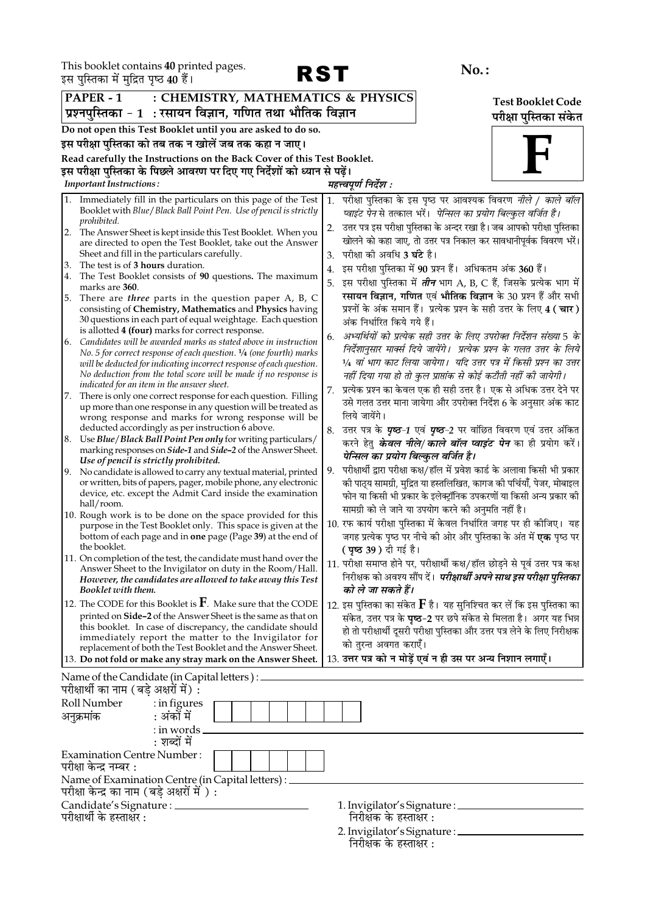This booklet contains 40 printed pages.<br>इस पस्तिका में मदित पष्ट्र 40 हैं।



| इस पुस्तिका म मुद्रित पृष्ठ 40 है।                                                                                       |                                                                                                                                           |                                                                                    |                        |  |
|--------------------------------------------------------------------------------------------------------------------------|-------------------------------------------------------------------------------------------------------------------------------------------|------------------------------------------------------------------------------------|------------------------|--|
| $PAPER - 1$<br>: CHEMISTRY, MATHEMATICS & PHYSICS<br><b>Test Booklet Code</b>                                            |                                                                                                                                           |                                                                                    |                        |  |
| प्रश्नपुस्तिका - 1  : रसायन विज्ञान, गणित तथा भौतिक विज्ञान                                                              |                                                                                                                                           |                                                                                    | परीक्षा पुस्तिका संकेत |  |
| Do not open this Test Booklet until you are asked to do so.                                                              |                                                                                                                                           |                                                                                    |                        |  |
|                                                                                                                          | इस परीक्षा पुस्तिका को तब तक न खोलें जब तक कहा न जाए।                                                                                     |                                                                                    |                        |  |
|                                                                                                                          | Read carefully the Instructions on the Back Cover of this Test Booklet.                                                                   |                                                                                    |                        |  |
|                                                                                                                          | इस परीक्षा पुस्तिका के पिछले आवरण पर दिए गए निर्देशों को ध्यान से पढ़ें।                                                                  |                                                                                    |                        |  |
| <b>Important Instructions:</b>                                                                                           |                                                                                                                                           | महत्त्वपूर्ण निर्देश :                                                             |                        |  |
|                                                                                                                          | Immediately fill in the particulars on this page of the Test                                                                              | 1. परीक्षा पुस्तिका के इस पृष्ठ पर आवश्यक विवरण <i>नीले / काले बॉल</i>             |                        |  |
|                                                                                                                          | Booklet with Blue / Black Ball Point Pen. Use of pencil is strictly                                                                       | प्वाइंट पेन से तत्काल भरें।  पेन्सिल का प्रयोग बिल्कुल वर्जित है।                  |                        |  |
| prohibited.                                                                                                              |                                                                                                                                           | उत्तर पत्र इस परीक्षा पुस्तिका के अन्दर रखा है। जब आपको परीक्षा पुस्तिका<br>2.     |                        |  |
| 2.                                                                                                                       | The Answer Sheet is kept inside this Test Booklet. When you<br>are directed to open the Test Booklet, take out the Answer                 | खोलने को कहा जाए, तो उत्तर पत्र निकाल कर सावधानीपूर्वक विवरण भरें।                 |                        |  |
|                                                                                                                          | Sheet and fill in the particulars carefully.                                                                                              | परीक्षा को अवधि <b>3 घंटे</b> है।<br>3.                                            |                        |  |
| The test is of 3 hours duration.<br>3.                                                                                   |                                                                                                                                           | इस परीक्षा पुस्तिका में 90 प्रश्न हैं। अधिकतम अंक 360 हैं।<br>4.                   |                        |  |
| 4.                                                                                                                       | The Test Booklet consists of 90 questions. The maximum                                                                                    | इस परीक्षा पुस्तिका में <i>तीन</i> भाग A, B, C हैं, जिसके प्रत्येक भाग में<br>5.   |                        |  |
| marks are 360.<br>5.                                                                                                     | There are <i>three</i> parts in the question paper A, B, C                                                                                | रसायन विज्ञान, गणित एवं भौतिक विज्ञान के 30 प्रश्न हैं और सभी                      |                        |  |
|                                                                                                                          | consisting of Chemistry, Mathematics and Physics having                                                                                   | प्रश्नों के अंक समान हैं। प्रत्येक प्रश्न के सही उत्तर के लिए 4 ( चार )            |                        |  |
|                                                                                                                          | 30 questions in each part of equal weightage. Each question                                                                               | अंक निर्धारित किये गये हैं।                                                        |                        |  |
|                                                                                                                          | is allotted 4 (four) marks for correct response.                                                                                          | अभ्यर्थियों को प्रत्येक सही उत्तर के लिए उपरोक्त निर्देशन संख्या 5 के<br>6.        |                        |  |
|                                                                                                                          | 6. Candidates will be awarded marks as stated above in instruction<br>No. 5 for correct response of each question. 1/4 (one fourth) marks | निर्देशानुसार मार्क्स दिये जायेंगे।  प्रत्येक प्रश्न के गलत उत्तर के लिये          |                        |  |
|                                                                                                                          | will be deducted for indicating incorrect response of each question.                                                                      | 1⁄4 वां भाग काट लिया जायेगा।  यदि उत्तर पत्र में किसी प्रश्न का उत्तर              |                        |  |
|                                                                                                                          | No deduction from the total score will be made if no response is                                                                          | नहीं दिया गया हो तो कुल प्राप्तांक से कोई कटौती नहीं की जायेगी।                    |                        |  |
|                                                                                                                          | indicated for an item in the answer sheet.                                                                                                | प्रत्येक प्रश्न का केवल एक ही सही उत्तर है। एक से अधिक उत्तर देने पर               |                        |  |
| 7.                                                                                                                       | There is only one correct response for each question. Filling<br>up more than one response in any question will be treated as             | उसे गलत उत्तर माना जायेगा और उपरोक्त निर्देश 6 के अनुसार अंक काट                   |                        |  |
|                                                                                                                          | wrong response and marks for wrong response will be                                                                                       | लिये जायेंगे।                                                                      |                        |  |
|                                                                                                                          | deducted accordingly as per instruction 6 above.                                                                                          | 8. उत्तर पत्र के <b>पृष्ठ-1</b> एवं <b>पृष्ठ-2</b> पर वांछित विवरण एवं उत्तर अंकित |                        |  |
|                                                                                                                          | 8. Use Blue/Black Ball Point Pen only for writing particulars/                                                                            | करने हेतु <b><i>केवल नीले/काले बॉल प्वाइंट पेन</i> का</b> ही प्रयोग करें।          |                        |  |
|                                                                                                                          | marking responses on Side-1 and Side-2 of the Answer Sheet.<br>Use of pencil is strictly prohibited.                                      | पेन्सिल का प्रयोग बिल्कुल वर्जित है।                                               |                        |  |
|                                                                                                                          | 9. No candidate is allowed to carry any textual material, printed                                                                         | परीक्षार्थी द्वारा परीक्षा कक्ष/हॉल में प्रवेश कार्ड के अलावा किसी भी प्रकार<br>9. |                        |  |
|                                                                                                                          | or written, bits of papers, pager, mobile phone, any electronic                                                                           | को पाठ्य सामग्री, मुद्रित या हस्तलिखित, कागज को पर्चियाँ, पेजर, मोबाइल             |                        |  |
|                                                                                                                          | device, etc. except the Admit Card inside the examination                                                                                 | फोन या किसी भी प्रकार के इलेक्ट्रॉनिक उपकरणों या किसी अन्य प्रकार की               |                        |  |
| hall/room.                                                                                                               | 10. Rough work is to be done on the space provided for this                                                                               | सामग्री को ले जाने या उपयोग करने की अनुमति नहीं है।                                |                        |  |
|                                                                                                                          | purpose in the Test Booklet only. This space is given at the                                                                              | 10. रफ कार्य परीक्षा पुस्तिका में केवल निर्धारित जगह पर ही कोजिए। यह               |                        |  |
|                                                                                                                          | bottom of each page and in <b>one</b> page (Page 39) at the end of                                                                        | जगह प्रत्येक पृष्ठ पर नीचे की ओर और पुस्तिका के अंत में <b>एक</b> पृष्ठ पर         |                        |  |
| the booklet.                                                                                                             |                                                                                                                                           | <b>( पृष्ठ 39 )</b> दी गई है।                                                      |                        |  |
|                                                                                                                          | 11. On completion of the test, the candidate must hand over the<br>Answer Sheet to the Invigilator on duty in the Room/Hall.              | 11. परीक्षा समाप्त होने पर, परीक्षार्थी कक्ष/हॉल छोड़ने से पूर्व उत्तर पत्र कक्ष   |                        |  |
|                                                                                                                          | However, the candidates are allowed to take away this Test                                                                                | निरीक्षक को अवश्य सौंप दें। <i>परीक्षार्थी अपने साथ इस परीक्षा पुस्तिका</i>        |                        |  |
| Booklet with them.                                                                                                       |                                                                                                                                           | को ले जा सकते हैं।                                                                 |                        |  |
|                                                                                                                          | 12. The CODE for this Booklet is $\mathbf{F}$ . Make sure that the CODE                                                                   | 12. इस पुस्तिका का संकेत ${\bf F}$ है। यह सुनिश्चित कर लें कि इस पुस्तिका का       |                        |  |
|                                                                                                                          | printed on Side-2 of the Answer Sheet is the same as that on                                                                              | संकेत, उत्तर पत्र के <b>पृष्ठ-2</b> पर छपे संकेत से मिलता है। अगर यह भिन्न         |                        |  |
|                                                                                                                          | this booklet. In case of discrepancy, the candidate should<br>immediately report the matter to the Invigilator for                        | हो तो परीक्षार्थी दूसरी परीक्षा पुस्तिका और उत्तर पत्र लेने के लिए निरीक्षक        |                        |  |
|                                                                                                                          | replacement of both the Test Booklet and the Answer Sheet.                                                                                | को तुरन्त अवगत कराएँ।                                                              |                        |  |
|                                                                                                                          | 13. Do not fold or make any stray mark on the Answer Sheet.                                                                               | 13. उत्तर पत्र को न मोड़ें एवं न ही उस पर अन्य निशान लगाएँ।                        |                        |  |
| परीक्षार्थी का नाम (बड़े अक्षरों में) :                                                                                  | Name of the Candidate (in Capital letters) : _                                                                                            |                                                                                    |                        |  |
| Roll Number                                                                                                              | : in figures                                                                                                                              |                                                                                    |                        |  |
| अनुक्रमांक                                                                                                               | : अंकों में                                                                                                                               |                                                                                    |                        |  |
|                                                                                                                          | : in words _                                                                                                                              |                                                                                    |                        |  |
|                                                                                                                          | : शब्दों में                                                                                                                              |                                                                                    |                        |  |
| <b>Examination Centre Number:</b>                                                                                        |                                                                                                                                           |                                                                                    |                        |  |
| परीक्षा केन्द्र नम्बर :                                                                                                  |                                                                                                                                           |                                                                                    |                        |  |
| Name of Examination Centre (in Capital letters) :                                                                        |                                                                                                                                           |                                                                                    |                        |  |
| परीक्षा केन्द्र का नाम (बड़े अक्षरों में ) :<br>Candidate's Signature : ______<br>1. Invigilator's Signature : _________ |                                                                                                                                           |                                                                                    |                        |  |
| परीक्षार्थी के हस्ताक्षर :                                                                                               |                                                                                                                                           | निरीक्षक के हस्ताक्षर :                                                            |                        |  |

2. Invigilator's Signature : \_\_\_<br>निरीक्षक के हस्ताक्षर :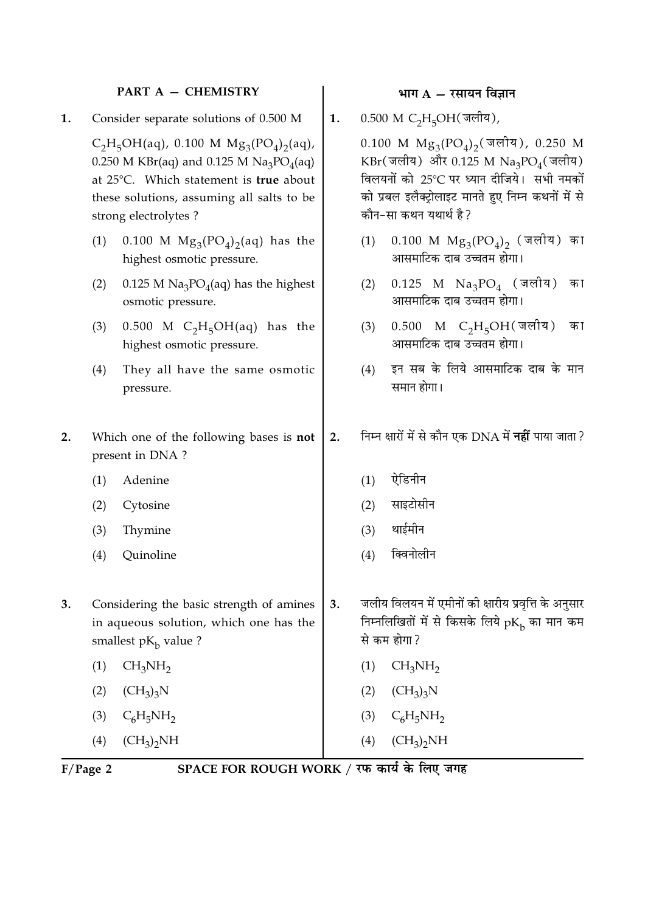## PART A - CHEMISTRY

1. Consider separate solutions of 0.500 M

> $C_2H_5OH(aq)$ , 0.100 M  $Mg_3(PO_4)_2(aq)$ , 0.250 M KBr(aq) and 0.125 M  $\text{Na}_3\text{PO}_4$ (aq) at 25°C. Which statement is true about these solutions, assuming all salts to be strong electrolytes?

- 0.100 M  $Mg_3(PO_4)_2(aq)$  has the  $(1)$ highest osmotic pressure.
- $(2)$ 0.125 M  $\text{Na}_3\text{PO}_4$ (aq) has the highest osmotic pressure.
- $0.500$  M C<sub>2</sub>H<sub>5</sub>OH(aq) has the  $(3)$ highest osmotic pressure.
- $(4)$ They all have the same osmotic pressure.
- $2.$ Which one of the following bases is not present in DNA?
	- $(1)$ Adenine
	- $(2)$ Cytosine
	- $(3)$ Thymine
	- $(4)$ Quinoline
- Considering the basic strength of amines  $3.$ in aqueous solution, which one has the smallest  $pK_h$  value ?
	- $CH_3NH_2$  $(1)$
	- $(2)$  $(CH_3)_3N$
	- $(3)$  $C_6H_5NH_2$
	- $(CH_3)_2NH$  $(4)$
- भाग  $A \bar{x}$ सायन विज्ञान
- 0.500 M C<sub>2</sub>H<sub>5</sub>OH(जलीय),  $1.$

0.100 M  $Mg_3(PO_4)_2$  (जलीय), 0.250 M  $KBr(\vec{q})$  और 0.125 M  $Na_3PO_4(\vec{q})$ विलयनों को 25°C पर ध्यान दीजिये। सभी नमकों को प्रबल इलैक्टोलाइट मानते हुए निम्न कथनों में से कौन-सा कथन यथार्थ है?

- $0.100$  M  $Mg_3(PO_4)_2$  (जलीय) का  $(1)$ आसमाटिक दाब उच्चतम होगा।
- $0.125$  M  $\mathrm{Na_{3}PO_{4}}$  (जलीय)  $(2)$ का आसमाटिक दाब उच्चतम होगा।
- $0.500$  M C<sub>2</sub>H<sub>5</sub>OH(जलीय) का  $(3)$ आसमाटिक दाब उच्चतम होगा।
- इन सब के लिये आसमाटिक दाब के मान  $(4)$ समान होगा।
- निम्न क्षारों में से कौन एक DNA में **नहीं** पाया जाता ?  $2.$ 
	- $(1)$ ऐडिनीन
	- $(2)$ साइटोसीन
	- थाईमीन  $(3)$
	- क्विनोलीन  $(4)$
- जलीय विलयन में एमीनों की क्षारीय प्रवृत्ति के अनुसार  $\overline{3}$ . निम्नलिखितों में से किसके लिये  $pK<sub>b</sub>$  का मान कम से कम होगा?
	- $CH<sub>3</sub>NH<sub>2</sub>$  $(1)$
	- $(2)$  $(CH_3)_3N$
	- $(3)$  $C_6H_5NH_2$
- $(CH_3)_2NH$  $(4)$

 $F/Page$  2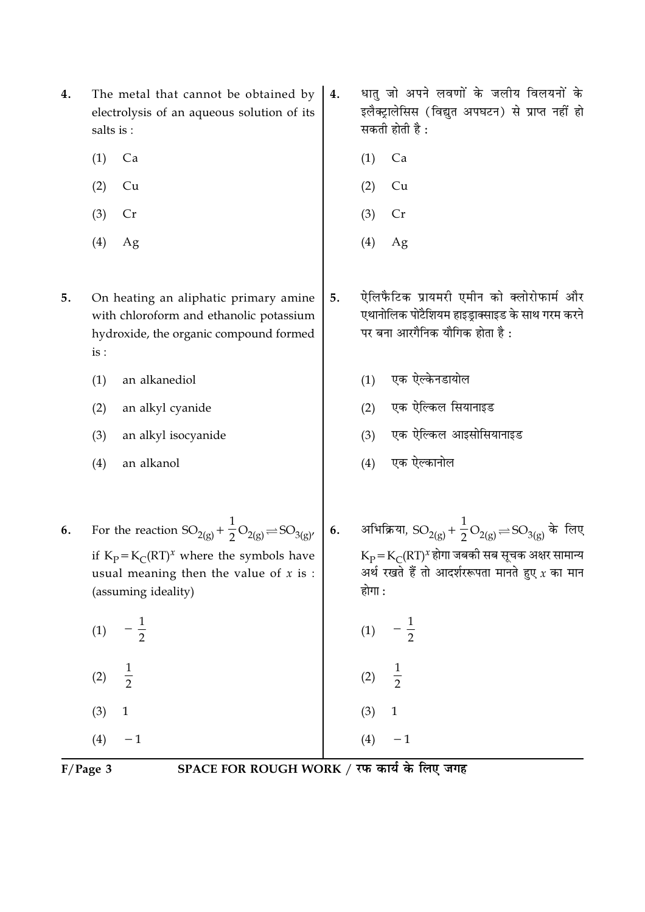| (2)<br>(2)<br>Cu<br>Cu<br>(3)<br>(3)<br>Cr<br>Cr<br>(4)<br>(4)<br>Ag<br>Ag<br>ऐलिफैटिक प्रायमरी एमीन को क्लोरोफार्म और<br>On heating an aliphatic primary amine<br>5.<br>एथानोलिक पोटैशियम हाइड्राक्साइड के साथ गरम करने<br>with chloroform and ethanolic potassium<br>पर बना आरगैनिक यौगिक होता है:<br>hydroxide, the organic compound formed<br>is:<br>एक ऐल्केनडायोल<br>an alkanediol<br>(1)<br>(1)<br>एक ऐल्किल सियानाइड<br>(2)<br>(2)<br>an alkyl cyanide<br>एक ऐल्किल आइसोसियानाइड<br>(3)<br>(3)<br>an alkyl isocyanide<br>एक ऐल्कानोल<br>(4)<br>(4)<br>an alkanol<br>For the reaction $SO_{2(g)} + \frac{1}{2}O_{2(g)} \rightleftharpoons SO_{3(g)}$<br>अभिक्रिया, SO <sub>2(g)</sub> + $\frac{1}{2}$ O <sub>2(g)</sub> $\rightleftharpoons$ SO <sub>3(g)</sub> के लिए<br>6.<br>$K_{\rm P}$ = $K_{\rm C}$ (RT) <sup>x</sup> होगा जबकी सब सूचक अक्षर सामान्य<br>if $K_P = K_C (RT)^x$ where the symbols have<br>अर्थ रखते हैं तो आदर्शररूपता मानते हुए $x$ का मान<br>usual meaning then the value of $x$ is :<br>होगा :<br>(assuming ideality)<br>(1)<br>(1)<br>$\frac{1}{2}$<br>$\frac{1}{2}$<br>(2)<br>(2)<br>$\mathbf 1$<br>(3)<br>(3)<br>$\mathbf 1$<br>(4)<br>$\mathbf{-1}$<br>(4)<br>$- \, 1$ |    |  |  |
|-----------------------------------------------------------------------------------------------------------------------------------------------------------------------------------------------------------------------------------------------------------------------------------------------------------------------------------------------------------------------------------------------------------------------------------------------------------------------------------------------------------------------------------------------------------------------------------------------------------------------------------------------------------------------------------------------------------------------------------------------------------------------------------------------------------------------------------------------------------------------------------------------------------------------------------------------------------------------------------------------------------------------------------------------------------------------------------------------------------------------------------------------------------------------------------------------------------|----|--|--|
|                                                                                                                                                                                                                                                                                                                                                                                                                                                                                                                                                                                                                                                                                                                                                                                                                                                                                                                                                                                                                                                                                                                                                                                                           |    |  |  |
|                                                                                                                                                                                                                                                                                                                                                                                                                                                                                                                                                                                                                                                                                                                                                                                                                                                                                                                                                                                                                                                                                                                                                                                                           |    |  |  |
|                                                                                                                                                                                                                                                                                                                                                                                                                                                                                                                                                                                                                                                                                                                                                                                                                                                                                                                                                                                                                                                                                                                                                                                                           |    |  |  |
|                                                                                                                                                                                                                                                                                                                                                                                                                                                                                                                                                                                                                                                                                                                                                                                                                                                                                                                                                                                                                                                                                                                                                                                                           | 5. |  |  |
|                                                                                                                                                                                                                                                                                                                                                                                                                                                                                                                                                                                                                                                                                                                                                                                                                                                                                                                                                                                                                                                                                                                                                                                                           |    |  |  |
|                                                                                                                                                                                                                                                                                                                                                                                                                                                                                                                                                                                                                                                                                                                                                                                                                                                                                                                                                                                                                                                                                                                                                                                                           |    |  |  |
|                                                                                                                                                                                                                                                                                                                                                                                                                                                                                                                                                                                                                                                                                                                                                                                                                                                                                                                                                                                                                                                                                                                                                                                                           |    |  |  |
|                                                                                                                                                                                                                                                                                                                                                                                                                                                                                                                                                                                                                                                                                                                                                                                                                                                                                                                                                                                                                                                                                                                                                                                                           |    |  |  |
|                                                                                                                                                                                                                                                                                                                                                                                                                                                                                                                                                                                                                                                                                                                                                                                                                                                                                                                                                                                                                                                                                                                                                                                                           | 6. |  |  |
|                                                                                                                                                                                                                                                                                                                                                                                                                                                                                                                                                                                                                                                                                                                                                                                                                                                                                                                                                                                                                                                                                                                                                                                                           |    |  |  |
|                                                                                                                                                                                                                                                                                                                                                                                                                                                                                                                                                                                                                                                                                                                                                                                                                                                                                                                                                                                                                                                                                                                                                                                                           |    |  |  |
|                                                                                                                                                                                                                                                                                                                                                                                                                                                                                                                                                                                                                                                                                                                                                                                                                                                                                                                                                                                                                                                                                                                                                                                                           |    |  |  |
|                                                                                                                                                                                                                                                                                                                                                                                                                                                                                                                                                                                                                                                                                                                                                                                                                                                                                                                                                                                                                                                                                                                                                                                                           |    |  |  |

- The metal that cannot be obtained by  $\vert$  4.  $4.$ electrolysis of an aqueous solution of its salts is :
	- $(1)$  Ca

SPACE FOR ROUGH WORK / रफ कार्य के लिए जगह

- धातु जो अपने लवणों के जलीय विलयनों के इलैक्ट्रालेसिस (विद्युत अपघटन) से प्राप्त नहीं हो सकती होती है :
	- $(1)$  Ca

 $\overline{F/Page 3}$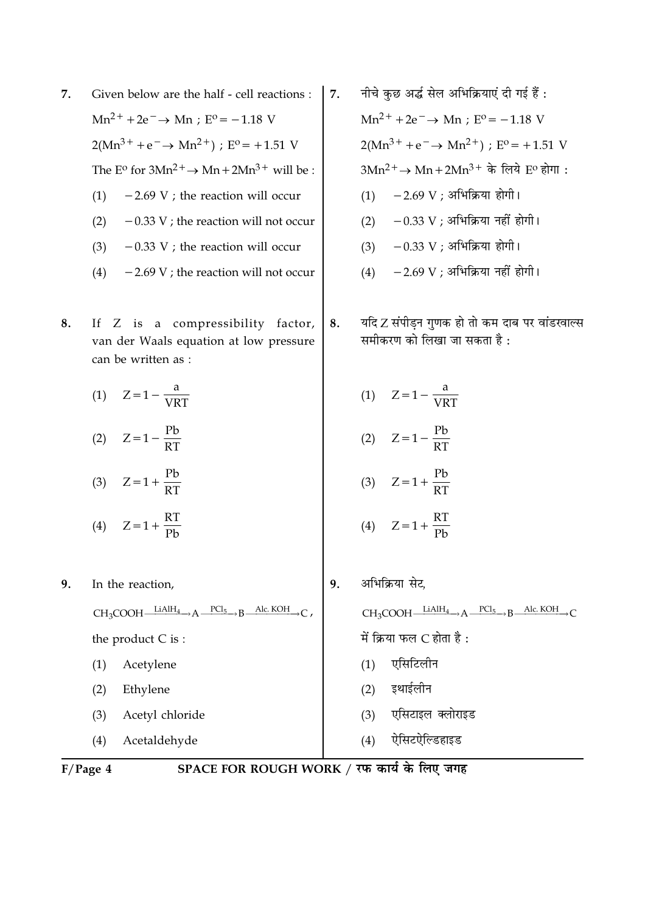| 7. | Given below are the half - cell reactions :                       |                                                                                               |  |  |
|----|-------------------------------------------------------------------|-----------------------------------------------------------------------------------------------|--|--|
|    | $Mn^{2+} + 2e^- \rightarrow Mn$ ; $E^{\circ} = -1.18$ V           |                                                                                               |  |  |
|    | $2(Mn^{3+} + e^- \rightarrow Mn^{2+})$ ; E <sup>o</sup> = +1.51 V |                                                                                               |  |  |
|    |                                                                   | The E <sup>o</sup> for $3Mn^2$ <sup>+</sup> $\rightarrow$ Mn + $2Mn^3$ <sup>+</sup> will be : |  |  |
|    |                                                                   | $(1)$ -2.69 V; the reaction will occur                                                        |  |  |
|    | (2)                                                               | $-0.33$ V; the reaction will not occur                                                        |  |  |
|    | (3)                                                               | $-0.33$ V; the reaction will occur                                                            |  |  |
|    | (4)                                                               | $-2.69$ V; the reaction will not occur                                                        |  |  |

8. If Z is a compressibility factor, van der Waals equation at low pressure can be written as :

(1)  $Z = 1 - \frac{a}{VRT}$ 

(2)  $Z = 1 - \frac{Pb}{RT}$ 

(3)  $Z = 1 + \frac{Pb}{RT}$ 

- (4)  $Z = 1 + \frac{RT}{Pb}$
- 9. In the reaction,  $CH_3COOH$   $\xrightarrow{LiAlH_4} A \xrightarrow{PCl_5} B$   $\xrightarrow{Alc. KOH} C$ , the product  $C$  is :  $(1)$ Acetylene  $(2)$ Ethylene  $(3)$ Acetyl chloride
	- (4) Acetaldehyde

(2) इथाईलीन

 $(4)$ ऐसिटऐल्डिहाइड

 $F/Page 4$ 

- नीचे कुछ अर्द्ध सेल अभिक्रियाएं दी गई हैं :  $\overline{7}$ .  $Mn^{2+} + 2e^- \rightarrow Mn$ ; E<sup>o</sup> = -1.18 V  $2(Mn^{3+} + e^- \rightarrow Mn^{2+})$ ; E<sup>o</sup> = +1.51 V  $3Mn^2$ <sup>+</sup> → Mn + 2Mn<sup>3 +</sup> के लिये E<sup>o</sup> होगा:  $(1) -2.69$  V ; अभिक्रिया होगी।
	- $(2)$  0.33 V ; अभिक्रिया नहीं होगी।
	- $(3)$  0.33 V ; अभिक्रिया होगी।
	- $(4)$  2.69 V ; अभिक्रिया नहीं होगी।
- यदि Z संपीड़न गुणक हो तो कम दाब पर वांडरवाल्स 8. समीकरण को लिखा जा सकता है :
	- (1)  $Z = 1 \frac{a}{VRT}$

$$
(2) \quad Z = 1 - \frac{Pb}{RT}
$$

$$
(3) \quad Z = 1 + \frac{Pb}{RT}
$$

$$
(4) \quad Z = 1 + \frac{RT}{Pb}
$$

- अभिक्रिया सेट. 9.  $CH_3COOH$   $LiAlH_4 \rightarrow A$   $PCl_5 \rightarrow B$  Alc. KOH  $\rightarrow$  C में क्रिया फल  $C$  होता है: (1) एसिटिलीन
	-
	- (3) एसिटाइल क्लोराइड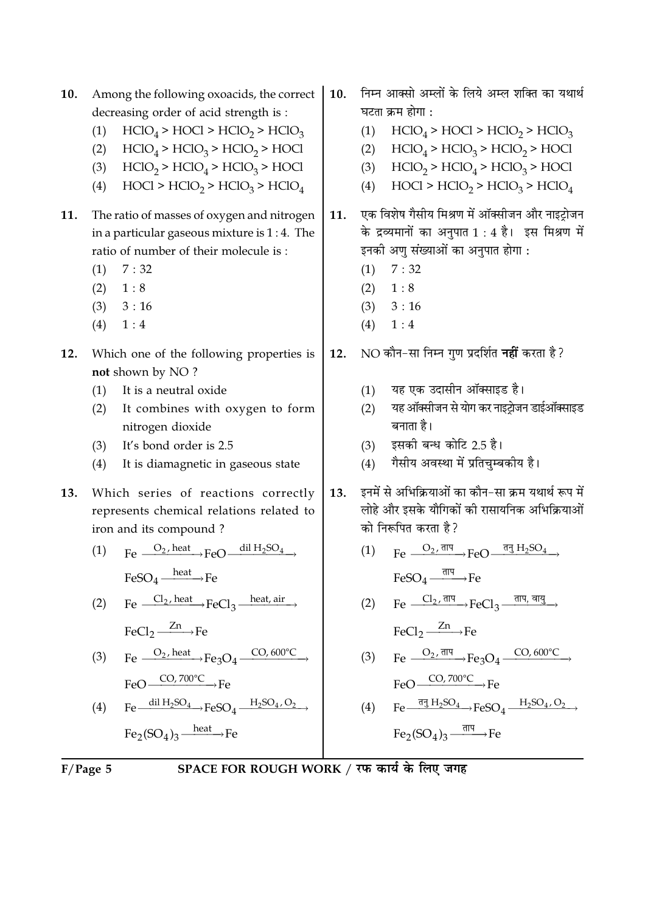$10.$ 10. Among the following oxoacids, the correct decreasing order of acid strength is :  $HClO<sub>4</sub> > HClO <sub>2</sub> > HClO<sub>3</sub>$  $(1)$  $HClO<sub>4</sub> > HClO<sub>3</sub> > HClO<sub>2</sub> > HOCl$  $(2)$  $HClO<sub>2</sub> > HClO<sub>4</sub> > HClO<sub>3</sub> > HOCl$  $(3)$  $HOCI > HClO<sub>2</sub> > HClO<sub>3</sub> > HClO<sub>4</sub>$  $(4)$ The ratio of masses of oxygen and nitrogen 11. 11. in a particular gaseous mixture is  $1:4$ . The ratio of number of their molecule is:  $7:32$  $(1)$  $(2)$  $1:8$  $(3)$  $3:16$  $(4)$  $1:4$ Which one of the following properties is 12. 12. not shown by NO? It is a neutral oxide  $(1)$  $(2)$ It combines with oxygen to form nitrogen dioxide It's bond order is 2.5  $(3)$  $(4)$ It is diamagnetic in gaseous state Which series of reactions correctly  $13.$ 13. represents chemical relations related to iron and its compound?  $\text{Fe} \xrightarrow{O_2, \text{heat}} \text{FeO} \xrightarrow{\text{dil } H_2SO_4}$  $(1)$  $FeSO<sub>4</sub>$   $\longrightarrow$  Fe  $\text{Fe} \xrightarrow{\text{Cl}_2,\text{heat}} \text{FeCl}_3 \xrightarrow{\text{heat, air}}$  $(2)$  $FeCl<sub>2</sub> \xrightarrow{Zn} Fe$  $\text{Fe} \xrightarrow{O_2,\text{heat}} \text{Fe}_3\text{O}_4 \xrightarrow{\text{CO},600\text{\degree C}}$  $(3)$  $FeO \xrightarrow{CO, 700^{\circ}C} Fe$  $Fe \xrightarrow{dil H_2SO_4} FeSO_4 \xrightarrow{H_2SO_4,O_2}$  $(4)$  $\text{Fe}_2(\text{SO}_4)_3 \xrightarrow{\text{heat}} \text{Fe}$ 

निम्न आक्सो अम्लों के लिये अम्ल शक्ति का यथार्थ घटता क्रम होगा :  $HClO<sub>4</sub> > HClO <sub>2</sub> > HClO<sub>3</sub>$  $(1)$ (2)  $HClO<sub>4</sub> > HClO<sub>3</sub> > HClO<sub>2</sub> > HClO<sub>3</sub>$ (3)  $HClO<sub>2</sub> > HClO<sub>4</sub> > HClO<sub>3</sub> > HOCl$  $HOC1 > HClO<sub>2</sub> > HClO<sub>3</sub> > HClO<sub>4</sub>$  $(4)$ एक विशेष गैसीय मिश्रण में ऑक्सीजन और नाइट्रोजन के द्रव्यमानों का अनुपात 1 : 4 है। इस मिश्रण में इनकी अणु संख्याओं का अनुपात होगा :  $(1) \quad 7:32$  $(2) \quad 1:8$  $(3)$  $3:16$  $(4)$  $1:4$ NO कौन-सा निम्न गुण प्रदर्शित **नहीं** करता है ? यह एक उदासीन ऑक्साइड है।  $(1)$ यह ऑक्सीजन से योग कर नाइटोजन डाईऑक्साइड  $(2)$ बनाता है। इसकी बन्ध कोटि 2.5 है।  $(3)$ गैसीय अवस्था में प्रतिचम्बकीय है।  $(4)$ इनमें से अभिक्रियाओं का कौन-सा क्रम यथार्थ रूप में लोहे और इसके यौगिकों की रासायनिक अभिक्रियाओं को निरूपित करता है ?  $Fe \longrightarrow FeO \longrightarrow \frac{\overline{\text{d}}\overline{\text{d}} H_2SO_4}{\longrightarrow}$  $(1)$  $FeSO_4 \xrightarrow{\overline{\text{dIP}}}\text{Fe}$ 

$$
(2) \qquad Fe \xrightarrow{Cl_2, \overline{\text{d}I^q}} FeCl_3 \xrightarrow{\overline{\text{d}I^q}, \overline{\text{d}I^q}}
$$

 $FeCl<sub>2</sub> \xrightarrow{Zn} Fe$ 

(3) Fe  $\frac{O_2 \cdot \overline{\text{d}} \overline{\text{d}}}{1}$  Fe<sub>3</sub>O<sub>4</sub>  $\frac{CO_2 \cdot 600^{\circ} \text{C}}{1}$  $E_0$  CO, 700 °C  $E_0$ 

(4) 
$$
\text{Fe} \xrightarrow{\overline{\text{qg H}_2\text{SO}_4}} \text{FeSO}_4 \xrightarrow{\text{H}_2\text{SO}_4, \text{O}_2} \text{H}_2
$$

$$
Fe_2(SO_4)_3 \xrightarrow{\overline{\pi} \overline{\eta} \overline{\eta}} Fe
$$

 $F/P$ age 5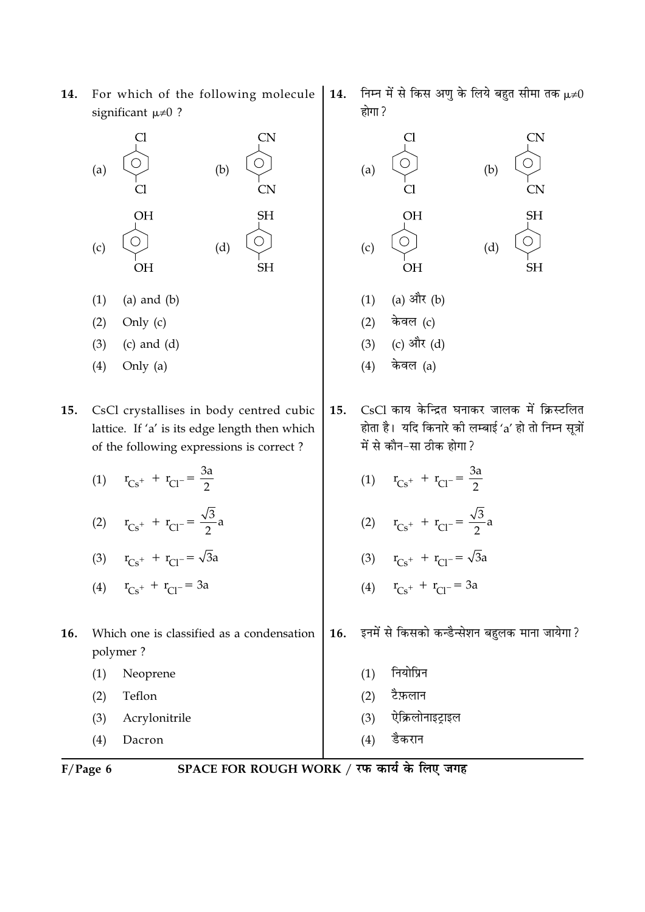For which of the following molecule 14. significant  $\mu\neq 0$  ?

| (a) | Cl<br>$\overline{\text{Cl}}$ | (b) | <b>CN</b><br><b>CN</b> |
|-----|------------------------------|-----|------------------------|
| (c) | <b>OH</b>                    | (d) | <b>SH</b><br><b>SH</b> |

- $(a)$  and  $(b)$  $(1)$
- $(2)$ Only (c)
- $(c)$  and  $(d)$  $(3)$
- Only (a)  $(4)$
- 15. CsCl crystallises in body centred cubic lattice. If 'a' is its edge length then which of the following expressions is correct?
	- (1)  $r_{Cs^+} + r_{Cl^-} = \frac{3a}{2}$
	- (2)  $r_{Cs^+} + r_{Cl^-} = \frac{\sqrt{3}}{2}a$
	- (3)  $r_{Cs^+} + r_{Cl^-} = \sqrt{3}a$
	- (4)  $r_{Cs^+} + r_{Cl^-} = 3a$
- Which one is classified as a condensation 16. polymer?
	- $(1)$ Neoprene
	- $(2)$ Teflon
	- $(3)$ Acrylonitrile
	- $(4)$ Dacron
- $F/Page 6$

SPACE FOR ROUGH WORK / रफ कार्य के लिए जगह

 $15.$ 

16.

निम्न में से किस अणु के लिये बहुत सीमा तक  $\mu\neq 0$ 14. होगा ?



- नियोप्रिन  $(1)$
- $(2)$ टैफ़लान
- ऐक्रिलोनाइट्राइल  $(3)$
- डैकरान  $(4)$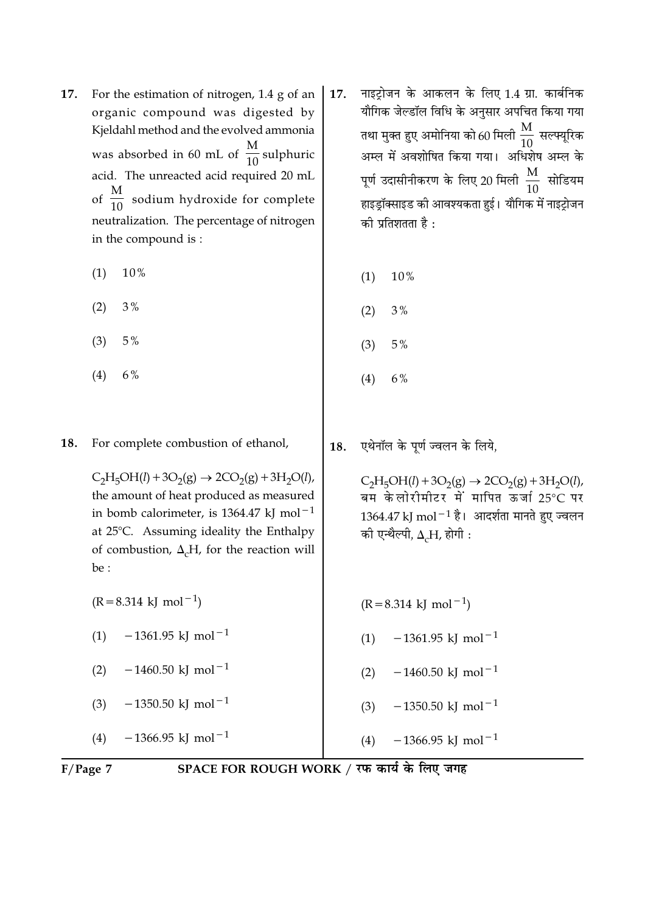- 17. For the estimation of nitrogen, 1.4 g of an organic compound was digested by Kieldahl method and the evolved ammonia was absorbed in 60 mL of  $\frac{M}{10}$  sulphuric acid. The unreacted acid required 20 mL of  $\frac{M}{10}$  sodium hydroxide for complete neutralization. The percentage of nitrogen in the compound is:
	- $(1)$ 10%
	- $(2)$  $3%$
	- $5%$  $(3)$
	- $(4)$  $6%$

18. For complete combustion of ethanol,

> $C_2H_5OH(l) + 3O_2(g) \rightarrow 2CO_2(g) + 3H_2O(l)$ , the amount of heat produced as measured in bomb calorimeter, is 1364.47 kJ mol<sup>-1</sup> at 25°C. Assuming ideality the Enthalpy of combustion,  $\Delta_c$ H, for the reaction will be :

- $(R = 8.314 \text{ kJ} \text{ mol}^{-1})$
- $-1361.95$  kJ mol<sup>-1</sup>  $(1)$
- $-1460.50$  kJ mol<sup>-1</sup>  $(2)$
- $-1350.50$  kJ mol<sup>-1</sup>  $(3)$

 $-1366.95$  kJ mol<sup>-1</sup>  $(4)$ 

- नाइट्रोजन के आकलन के लिए 1.4 ग्रा. कार्बनिक 17. यौगिक जेल्डॉल विधि के अनुसार अपचित किया गया तथा मुक्त हुए अमोनिया को 60 मिली  $\frac{\text{M}}{10}$  सल्फ्यूरिक अम्ल में अवशोषित किया गया। अधिशेष अम्ल के पूर्ण उदासीनीकरण के लिए 20 मिली  $\frac{\text{M}}{10}$  सोडियम हाइड्रॉक्साइड की आवश्यकता हुई। यौगिक में नाइट्रोजन की प्रतिशतता है:
	- $(1)$  $10\%$
	- $3%$  $(2)$
	- $(3)$  $5%$
	- $(4)$ 6%

एथेनॉल के पूर्ण ज्वलन के लिये, 18.

> $\label{eq:co1} \mathrm{C_2H_5OH}(l) + 3\mathrm{O_2(g)} \rightarrow 2\mathrm{CO_2(g)} + 3\mathrm{H_2O}(l),$ बम केलोरीमीटर में मापित ऊर्जा 25°C पर  $1364.47$  kJ mol $^{-1}$  है। आदर्शता मानते हुए ज्वलन की एन्थैल्पी,  $\Delta_c$ H, होगी:

- $(R = 8.314 \text{ kJ} \text{ mol}^{-1})$
- $-1361.95$  kJ mol<sup>-1</sup>  $(1)$
- $-1460.50$  kJ mol<sup>-1</sup>  $(2)$
- $-1350.50$  kJ mol<sup>-1</sup>  $(3)$
- $-1366.95$  kJ mol<sup>-1</sup>  $(4)$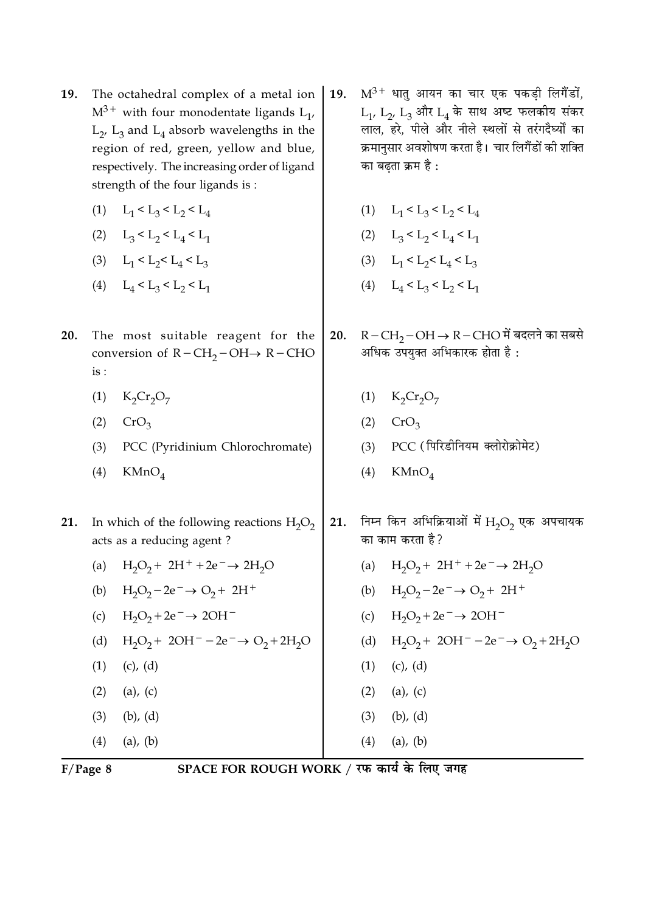- The octahedral complex of a metal ion 19.  $M^{3+}$  with four monodentate ligands  $L_1$ ,  $L_2$ ,  $L_3$  and  $L_4$  absorb wavelengths in the region of red, green, yellow and blue, respectively. The increasing order of ligand strength of the four ligands is:
	- (1)  $L_1 < L_3 < L_2 < L_4$
	- (2)  $L_3 < L_2 < L_4 < L_1$
	- (3)  $L_1 < L_2 < L_4 < L_3$
	- (4)  $L_4 < L_3 < L_2 < L_1$
- 20. The most suitable reagent for the conversion of  $R - CH_2 - OH \rightarrow R - CHO$  $is:$ 
	- $K_2Cr_2O_7$  $(1)$
	- $(2)$  $CrO<sub>3</sub>$
	- $(3)$ PCC (Pyridinium Chlorochromate)
	- $(4)$  $KMnO<sub>4</sub>$
- 21. In which of the following reactions  $H_2O_2$ acts as a reducing agent?
	- (a)  $H_2O_2 + 2H^+ + 2e^- \rightarrow 2H_2O$
	- (b)  $H_2O_2 2e^- \rightarrow O_2 + 2H^+$
	- (c)  $H_2O_2 + 2e^- \rightarrow 2OH^-$
	- (d)  $H_2O_2 + 2OH^- 2e^- \rightarrow O_2 + 2H_2O$
	- $(1)$  $(c)$ ,  $(d)$  $(2)$  $(a)$ ,  $(c)$  $(3)$  $(b)$ ,  $(d)$
	-
	- $(4)$  $(a)$ ,  $(b)$
- $M^{3+}$  धातु आयन का चार एक पकडी लिगैंडों, 19.  $L_1$ ,  $L_2$ ,  $L_3$  और  $L_4$  के साथ अष्ट फलकीय संकर लाल, हरे, पीले और नीले स्थलों से तरंगदैर्घ्यों का क्रमानुसार अवशोषण करता है। चार लिगैंडों की शक्ति का बढता क्रम है :
	- (1)  $L_1 < L_3 < L_2 < L_4$
	- (2)  $L_3 < L_2 < L_4 < L_1$
	- (3)  $L_1 < L_2 < L_4 < L_3$
	- (4)  $L_4 < L_3 < L_2 < L_1$
- $R-CH<sub>2</sub>-OH \rightarrow R-CHO$ में बदलने का सबसे 20. अधिक उपयुक्त अभिकारक होता है:
	- (1)  $K_2Cr_2O_7$
	- $(2)$  $CrO<sub>3</sub>$
	- PCC (पिरिडीनियम क्लोरोक्रोमेट)  $(3)$
	- $KMnO<sub>4</sub>$  $(4)$
- निम्न किन अभिक्रियाओं में  $\rm H_2O_2$  एक अपचायक 21. का काम करता है?
	- $H_2O_2$  + 2H<sup>+</sup> +2e<sup>-</sup>  $\rightarrow$  2H<sub>2</sub>O  $(a)$
	- (b)  $H_2O_2 2e^- \rightarrow O_2 + 2H^+$
	- $H_2O_2 + 2e^- \rightarrow 2OH^ (c)$
	- (d)  $H_2O_2 + 2OH^- 2e^- \rightarrow O_2 + 2H_2O$
	- $(1)$  $(c)$ ,  $(d)$
	- $(2)$  $(a)$ ,  $(c)$
	- $(3)$  $(b)$ ,  $(d)$
- $(4)$  $(a)$ ,  $(b)$

 $F/Page 8$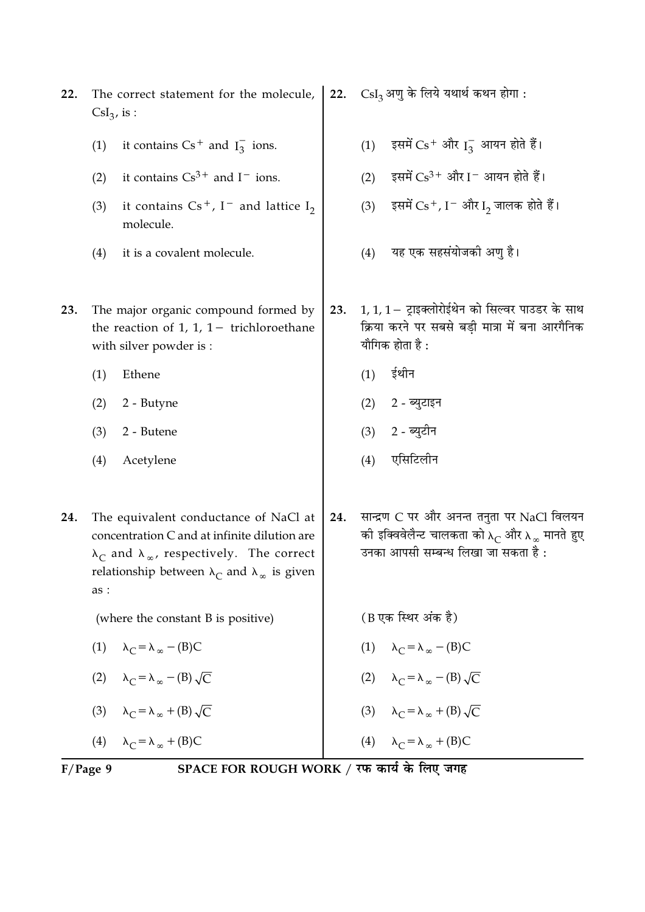|     | $\text{CsI}_3$ , is : | The correct statement for the molecule,                                                                                                                                                                                   |     |     | $\text{CsI}_3$ अणु के लिये यथार्थ कथन होगा :                                                                                                            |
|-----|-----------------------|---------------------------------------------------------------------------------------------------------------------------------------------------------------------------------------------------------------------------|-----|-----|---------------------------------------------------------------------------------------------------------------------------------------------------------|
|     | (1)                   | it contains $Cs^+$ and $I_3^-$ ions.                                                                                                                                                                                      |     | (1) | इसमें $Cs$ <sup>+</sup> और $I_3^-$ आयन होते हैं।                                                                                                        |
|     | (2)                   | it contains $Cs^{3+}$ and $I^-$ ions.                                                                                                                                                                                     |     | (2) | इसमें $Cs^{3+}$ और I $^-$ आयन होते हैं।                                                                                                                 |
|     | (3)                   | it contains $Cs^+$ , I <sup>-</sup> and lattice I <sub>2</sub><br>molecule.                                                                                                                                               |     | (3) | इसमें $Cs+$ , I $^-$ और I <sub>2</sub> जालक होते हैं।                                                                                                   |
|     | (4)                   | it is a covalent molecule.                                                                                                                                                                                                |     | (4) | यह एक सहसंयोजको अणु है।                                                                                                                                 |
| 23. |                       | The major organic compound formed by<br>the reaction of 1, 1, $1-$ trichloroethane<br>with silver powder is :                                                                                                             | 23. |     | $1, 1, 1 - $ ट्राइक्लोरोईथेन को सिल्वर पाउडर के साथ<br>क्रिया करने पर सबसे बड़ी मात्रा में बना आरगैनिक<br>यौगिक होता है :                               |
|     | (1)                   | Ethene                                                                                                                                                                                                                    |     | (1) | ईथीन                                                                                                                                                    |
|     | (2)                   | 2 - Butyne                                                                                                                                                                                                                |     | (2) | 2 - ब्युटाइन                                                                                                                                            |
|     | (3)                   | 2 - Butene                                                                                                                                                                                                                |     | (3) | 2 - ब्युटीन                                                                                                                                             |
|     | (4)                   | Acetylene                                                                                                                                                                                                                 |     | (4) | एसिटिलीन                                                                                                                                                |
| 24. | as :                  | The equivalent conductance of NaCl at<br>concentration C and at infinite dilution are<br>$\lambda_C$ and $\lambda_{\infty}$ , respectively. The correct<br>relationship between $\lambda_C$ and $\lambda_\infty$ is given | 24. |     | सान्द्रण C पर और अनन्त तनुता पर NaCl विलयन<br>की इक्विवेलैन्ट चालकता को $\lambda_C$ और $\lambda_\infty$ मानते हुए<br>उनका आपसी सम्बन्ध लिखा जा सकता है: |
|     |                       | (where the constant B is positive)                                                                                                                                                                                        |     |     | (B एक स्थिर अंक है)                                                                                                                                     |
|     | (1)                   | $\lambda_C = \lambda_\infty - (B)C$                                                                                                                                                                                       |     |     | (1) $\lambda_C = \lambda_\infty - (B)C$                                                                                                                 |
|     |                       | (2) $\lambda_C = \lambda_\infty - (B) \sqrt{C}$                                                                                                                                                                           |     |     | (2) $\lambda_C = \lambda_\infty - (B) \sqrt{C}$                                                                                                         |
|     |                       | (3) $\lambda_C = \lambda_\infty + (B) \sqrt{C}$                                                                                                                                                                           |     |     | (3) $\lambda_C = \lambda_\infty + (B) \sqrt{C}$                                                                                                         |
|     |                       | (4) $\lambda_C = \lambda_\infty + (B)C$                                                                                                                                                                                   |     |     | (4) $\lambda_C = \lambda_\infty + (B)C$                                                                                                                 |
|     | $F/Page$ 9            | SPACE FOR ROUGH WORK / रफ कार्य के लिए जगह                                                                                                                                                                                |     |     |                                                                                                                                                         |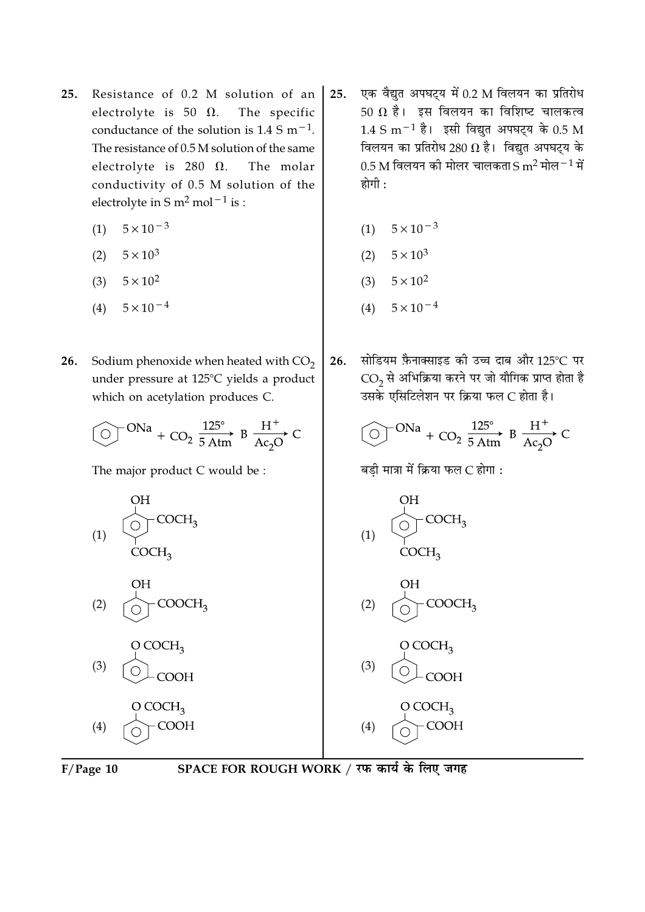- 25. Resistance of 0.2 M solution of an electrolyte is 50  $\Omega$ . The specific conductance of the solution is  $1.4 \text{ S m}^{-1}$ . The resistance of 0.5 M solution of the same electrolyte is 280  $\Omega$ . The molar conductivity of 0.5 M solution of the electrolyte in S  $m^2$  mol<sup>-1</sup> is :
	- $5 \times 10^{-3}$  $(1)$
	- (2)  $5 \times 10^3$
	- (3)  $5 \times 10^2$
	- $5 \times 10^{-4}$  $(4)$
- Sodium phenoxide when heated with  $CO<sub>2</sub>$ 26. under pressure at 125°C yields a product which on acetylation produces C.

The major product C would be :





- एक वैद्युत अपघट्य में 0.2 M विलयन का प्रतिरोध  $25.$ 50  $\Omega$  है। इस विलयन का विशिष्ट चालकत्व  $1.4 \text{ S m}^{-1}$  है। इसी विद्युत अपघटय के 0.5 M विलयन का प्रतिरोध 280  $\Omega$  है। विद्युत अपघट्य के 0.5 M विलयन की मोलर चालकता S m<sup>2</sup> मोल $^{-1}$  में होगी $\cdot$ 
	- $5 \times 10^{-3}$  $(1)$
	- (2)  $5 \times 10^3$
	- (3)  $5 \times 10^2$
	- $5 \times 10^{-4}$  $(4)$
- सोडियम फ़ैनाक्साइड की उच्च दाब और 125°C पर 26.  $CO<sub>2</sub>$ से अभिक्रिया करने पर जो यौगिक प्राप्त होता है उसके एसिटिलेशन पर क्रिया फल C होता है।

$$
\textcircled{ } \text{ }^{ONa}+\text{CO}_2\xrightarrow{125^\circ}\text{B}\xrightarrow{H^+}\text{Ac}_2\text{O}^{\bullet}\text{C}
$$

बडी मात्रा में क्रिया फल C होगा :



SPACE FOR ROUGH WORK / रफ कार्य के लिए जगह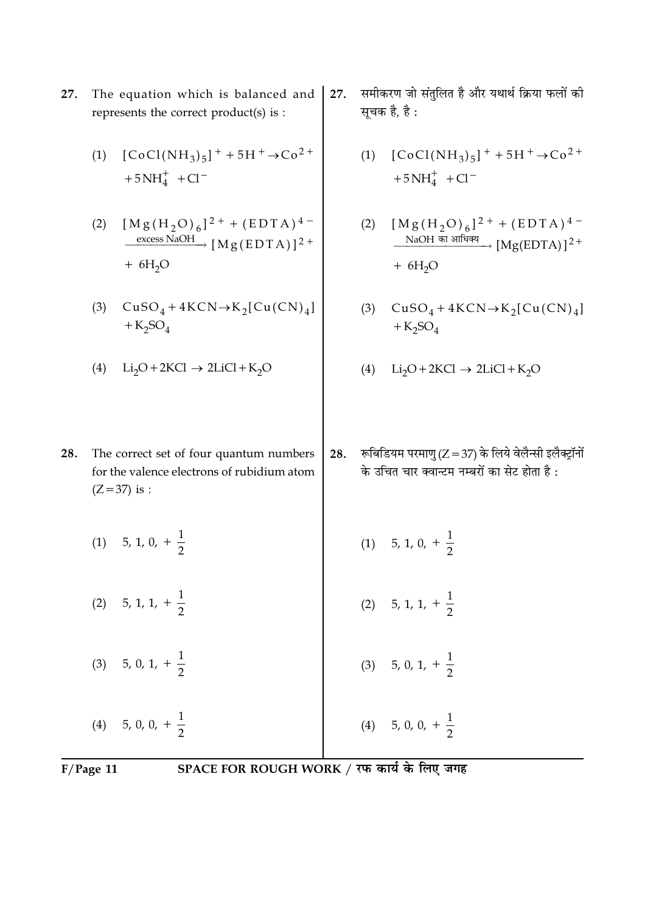- 27. The equation which is balanced and represents the correct product(s) is :
	- $[CoCl(NH_3)_5]$ <sup>+</sup> + 5H<sup>+</sup>  $\rightarrow$  Co<sup>2+</sup>  $(1)$  $+5NH<sub>4</sub><sup>+</sup> + Cl<sup>-</sup>$
	- $[M g (H<sub>2</sub>O)<sub>6</sub>]<sup>2+</sup> + (EDTA)<sup>4-</sup>  
	\nexcess NaOH  
	\n[M g (EDTA)]<sup>2+</sup>$  $(2)$  $+ 6H<sub>2</sub>O$
	- (3)  $CuSO_4 + 4KCN \rightarrow K_2[Cu(CN)_4]$  $+$ K<sub>2</sub>SO<sub>4</sub>
	- (4)  $Li_2O + 2KCl \rightarrow 2LiCl + K_2O$
- समीकरण जो संतुलित है और यथार्थ क्रिया फलों की  $27.$ सूचक है, है :
	- $[CoCl(NH_3)_5]$ <sup>+</sup> + 5H<sup>+</sup>  $\rightarrow$  Co<sup>2+</sup>  $(1)$  $+5NH<sub>4</sub><sup>+</sup> + Cl<sup>-</sup>$
	- $[M g (H<sub>2</sub>O)<sub>6</sub>]<sup>2+</sup> + (EDTA)<sup>4</sup> -$ <br>NaOH का आधिक्य<br> $[Mg(EDTA)]<sup>2+</sup>$  $(2)$  $+ 6H<sub>2</sub>O$
	- (3)  $CuSO_4 + 4KCN \rightarrow K_2[Cu(CN)_4]$  $+K_2SO_4$
	- (4)  $Li_2O + 2KCl \rightarrow 2LiCl + K_2O$
- रूबिडियम परमाणु (Z = 37) के लिये वेलैन्सी इलैक्ट्रॉनों 28. के उचित चार क्वान्टम नम्बरों का सेट होता है :
- (1) 5, 1, 0,  $+\frac{1}{2}$ (1) 5, 1, 0,  $+\frac{1}{2}$ (2) 5, 1, 1,  $+\frac{1}{2}$ (2) 5, 1, 1,  $+\frac{1}{2}$ (3) 5, 0, 1,  $+\frac{1}{2}$ (3) 5, 0, 1,  $+\frac{1}{2}$ (4) 5, 0, 0,  $+\frac{1}{2}$ (4) 5, 0, 0,  $+\frac{1}{2}$

 $F/Page$  11

- 
- 28. The correct set of four quantum numbers for the valence electrons of rubidium atom  $(Z = 37)$  is :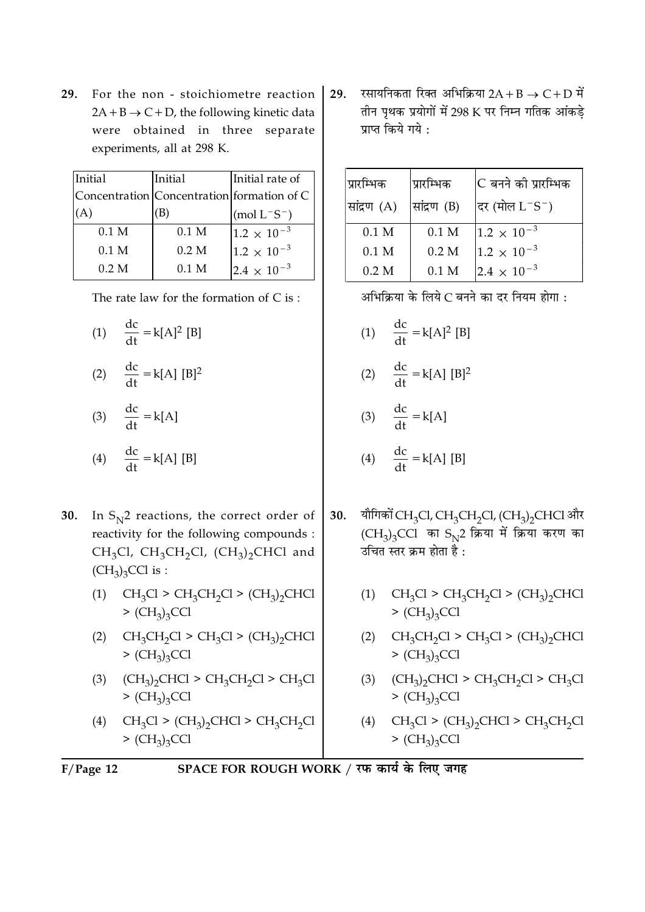**29.** For the non - stoichiometre reaction  $2A + B \rightarrow C + D$ , the following kinetic data were obtained in three separate experiments, all at 298 K.

| Initial          | Initial                                    | Initial rate of      |
|------------------|--------------------------------------------|----------------------|
|                  | Concentration Concentration formation of C |                      |
|                  |                                            | $(mod L^-S^-)$       |
| 0.1 <sub>M</sub> | 0.1 <sub>M</sub>                           | $1.2 \times 10^{-3}$ |
| 0.1 <sub>M</sub> | 0.2 M                                      | $1.2 \times 10^{-3}$ |
| 0.2 <sub>M</sub> | $0.1\;M$                                   | $2.4 \times 10^{-3}$ |

The rate law for the formation of  $C$  is:

- (1)  $\frac{dc}{dt} = k[A]^2 [B]$
- (2)  $\frac{dc}{dt} = k[A] [B]^2$
- (3)  $\frac{dc}{dt} = k[A]$

$$
(4) \quad \frac{dc}{dt} = k[A] [B]
$$

- **30.** In  $S_N^2$  reactions, the correct order of reactivity for the following compounds : CH<sub>3</sub>Cl, CH<sub>3</sub>CH<sub>2</sub>Cl, (CH<sub>3</sub>)<sub>2</sub>CHCl and  $(CH_3)_3$ CCl is :
	- (1)  $CH_3Cl > CH_3CH_2Cl > (CH_3)_2CHCl$  $>(CH<sub>3</sub>)<sub>3</sub>CCl$
	- (2)  $CH_3CH_2Cl > CH_3Cl > (CH_3)_2CHCl$  $>(CH<sub>3</sub>)<sub>3</sub>CCl$
	- $(CH_3)_2$ CHCl > CH<sub>3</sub>CH<sub>2</sub>Cl > CH<sub>3</sub>Cl  $(3)$  $>(CH<sub>3</sub>)<sub>3</sub>CCl$
	- $CH_3Cl$  >  $(CH_3)_2CHCl$  >  $CH_3CH_2Cl$  $(4)$  $>(CH<sub>3</sub>)<sub>3</sub>CCl$

रसायनिकता रिक्त अभिक्रिया  $2A + B \rightarrow C + D$  में 29. तीन पृथक प्रयोगों में 298 K पर निम्न गतिक आंकड़े प्राप्त किये गये :

| प्रारम्भिक       | प्रारम्भिक       | lC बनने को प्रारम्भिक |
|------------------|------------------|-----------------------|
| सांद्रण (A)      | सांद्रण (B)      | दिर (मोल $L^-S^-$ )   |
| 0.1 <sub>M</sub> | 0.1 <sub>M</sub> | $1.2 \times 10^{-3}$  |
| 0.1 <sub>M</sub> | 0.2 M            | $1.2 \times 10^{-3}$  |
| 0.2 M            | $0.1$ M          | $2.4 \times 10^{-3}$  |

अभिक्रिया के लिये C बनने का दर नियम होगा:

(1)  $\frac{dc}{dt} = k[A]^2 [B]$ 

$$
(2) \quad \frac{\text{dc}}{\text{dt}} = k[A] [B]^2
$$

$$
(3) \quad \frac{\text{dc}}{\text{dt}} = k[A]
$$

$$
(4) \quad \frac{\mathrm{d} \mathbf{c}}{\mathrm{d} \mathbf{t}} = \mathbf{k}[\mathbf{A}] \,\, [\mathbf{B}]
$$

- यौगिकों CH<sub>3</sub>Cl, CH<sub>3</sub>CH<sub>2</sub>Cl, (CH<sub>3</sub>)<sub>2</sub>CHCl और 30.  $(CH_3)_3$ CCl का  $S_N2$  क्रिया में क्रिया करण का उचित स्तर क्रम होता है:
	- $CH_3Cl > CH_3CH_2Cl > (CH_3)_2CHCl$  $(1)$  $>(CH<sub>3</sub>)<sub>3</sub>CCl$
	- (2)  $CH_3CH_2Cl > CH_3Cl > (CH_3)_2CHCl$  $>(CH<sub>3</sub>)<sub>3</sub>CCl$
	- (3)  $(CH_3)_2$ CHCl > CH<sub>3</sub>CH<sub>2</sub>Cl > CH<sub>3</sub>Cl  $>(CH<sub>3</sub>)<sub>3</sub>CCl$
	- (4)  $CH_3Cl$  >  $(CH_3)_2CHCl$  >  $CH_3CH_2Cl$  $>(CH<sub>3</sub>)<sub>3</sub>CCl$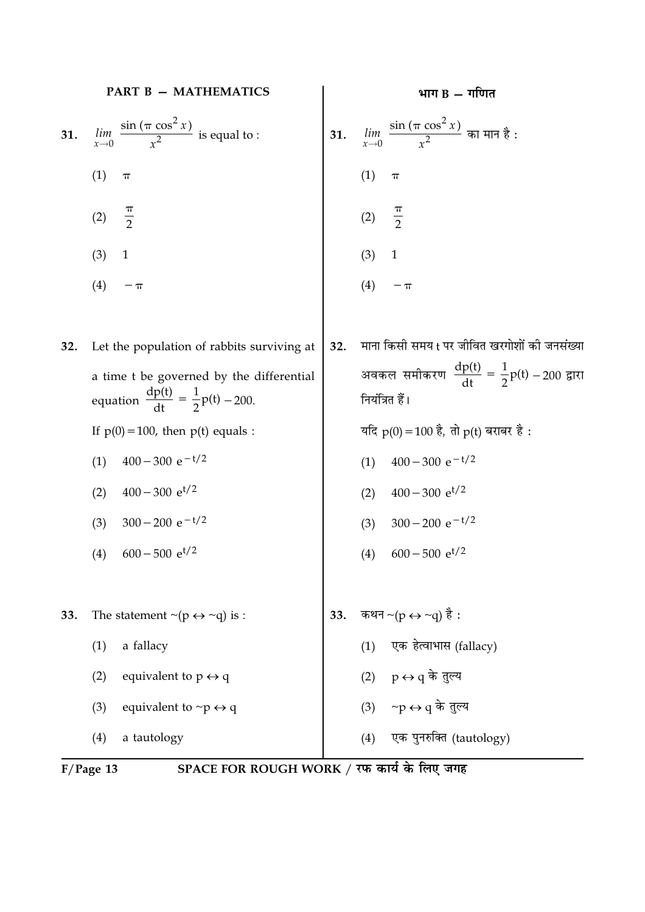|     | <b>PART B - MATHEMATICS</b>                                                                       |     | भाग $B - T$ गणित                                                                |
|-----|---------------------------------------------------------------------------------------------------|-----|---------------------------------------------------------------------------------|
| 31. | $\lim_{x\to 0}$ $\frac{\sin(\pi \cos^2 x)}{x^2}$ is equal to :<br>$x \rightarrow 0$               | 31. | $\lim_{x\to 0}\frac{\sin\left(\pi\cos^2x\right)}{x^2}$ का मान है :              |
|     | (1)<br>$\pi$                                                                                      |     | (1)<br>$\pi$                                                                    |
|     | $\frac{\pi}{2}$<br>(2)                                                                            |     | $\frac{\pi}{2}$<br>(2)                                                          |
|     | (3)<br>$\mathbf{1}$                                                                               |     | (3)<br>$\mathbf{1}$                                                             |
|     | (4)<br>$-\,\pi$                                                                                   |     | (4)<br>$-\,\pi$                                                                 |
| 32. | Let the population of rabbits surviving at                                                        | 32. | माना किसी समय t पर जीवित खरगोशों की जनसंख्या                                    |
|     | a time t be governed by the differential<br>equation $\frac{dp(t)}{dt} = \frac{1}{2}p(t) - 200$ . |     | अवकल समीकरण $\frac{dp(t)}{dt} = \frac{1}{2}p(t) - 200$ द्वारा<br>नियंत्रित हैं। |
|     | If $p(0) = 100$ , then $p(t)$ equals :                                                            |     | यदि $p(0) = 100$ है, तो $p(t)$ बराबर है :                                       |
|     | $400 - 300 e^{-t/2}$<br>(1)                                                                       |     | $400 - 300 e^{-t/2}$<br>(1)                                                     |
|     | $400 - 300$ e <sup>t/2</sup><br>(2)                                                               |     | $400 - 300 e^{t/2}$<br>(2)                                                      |
|     | $300 - 200 e^{-t/2}$<br>(3)                                                                       |     | $300 - 200 e^{-t/2}$<br>(3)                                                     |
|     | $600 - 500$ e <sup>t/2</sup><br>(4)                                                               |     | $600 - 500$ e <sup>t/2</sup><br>(4)                                             |
| 33. | The statement $\sim (p \leftrightarrow \sim q)$ is :                                              | 33. | कथन ~(p $\leftrightarrow$ ~q) है :                                              |
|     | a fallacy<br>(1)                                                                                  |     | एक हेत्वाभास (fallacy)<br>(1)                                                   |
|     | (2)<br>equivalent to $p \leftrightarrow q$                                                        |     | (2) $p \leftrightarrow q$ के तुल्य                                              |
|     | equivalent to $\neg p \leftrightarrow q$<br>(3)                                                   |     | (3) $\neg p \leftrightarrow q$ के तुल्य                                         |
|     | (4)<br>a tautology                                                                                |     | एक पुनरुक्ति (tautology)<br>(4)                                                 |
|     | SPACE FOR ROUGH WORK / रफ कार्य के लिए जगह<br>$F/Page$ 13                                         |     |                                                                                 |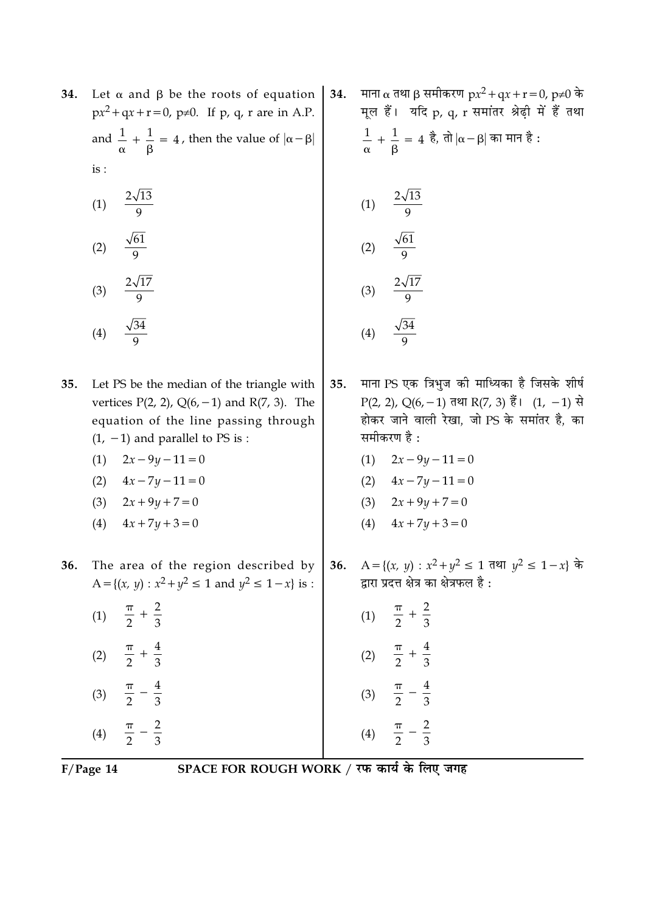- Let  $\alpha$  and  $\beta$  be the roots of equation 34.  $px^2 + qx + r = 0$ ,  $p \ne 0$ . If p, q, r are in A.P. and  $\frac{1}{\alpha} + \frac{1}{\beta} = 4$ , then the value of  $|\alpha - \beta|$  $is:$ 
	- (1)  $\frac{2\sqrt{13}}{9}$
	- $\frac{\sqrt{61}}{9}$  $(2)$
	- $\frac{2\sqrt{17}}{9}$  $(3)$

$$
(4) \quad \frac{\sqrt{34}}{9}
$$

- 35. Let PS be the median of the triangle with vertices  $P(2, 2)$ ,  $Q(6, -1)$  and  $R(7, 3)$ . The equation of the line passing through  $(1, -1)$  and parallel to PS is :
	- $(1)$  $2x - 9y - 11 = 0$
	- $4x 7y 11 = 0$  $(2)$
	- $2x + 9y + 7 = 0$  $(3)$
	- $4x + 7y + 3 = 0$  $(4)$

 $\frac{2}{3}$ 

 $\overline{4}$  $\overline{3}$ 

 $\frac{4}{3}$ 

 $rac{2}{3}$ 

36. The area of the region described by A = { $(x, y)$  :  $x^2 + y^2 \le 1$  and  $y^2 \le 1 - x$ } is :

| (1)               | π<br>$\hspace{0.1mm} +$<br>$\overline{2}$ |
|-------------------|-------------------------------------------|
| (2)               | π<br>$^+$<br>$\overline{2}$               |
| (3)               | $\boldsymbol{\pi}$<br>$\overline{2}$      |
| $\left( 4\right)$ | $\boldsymbol{\pi}$                        |

माना α तथा β समीकरण  $px^2 + qx + r = 0$ , p≠0 के 34. मूल हैं। यदि p, q, r समांतर श्रेढ़ी में हैं तथा  $\frac{1}{\alpha} + \frac{1}{\beta} = 4$  है, तो  $|\alpha - \beta|$  का मान है:

(1) 
$$
\frac{2\sqrt{13}}{9}
$$
  
\n(2)  $\frac{\sqrt{61}}{9}$   
\n(3)  $\frac{2\sqrt{17}}{9}$   
\n(4)  $\frac{\sqrt{34}}{9}$ 

- माना PS एक त्रिभुज की माध्यिका है जिसके शीर्ष 35. P(2, 2), Q(6, -1) तथा R(7, 3) हैं। (1, -1) से होकर जाने वाली रेखा, जो PS के समांतर है, का समीकरण है :
	- $2x 9y 11 = 0$  $(1)$
	- (2)  $4x 7y 11 = 0$
	- (3)  $2x + 9y + 7 = 0$
	- (4)  $4x + 7y + 3 = 0$
- A = {(x, y) :  $x^2 + y^2 \le 1$  तथा  $y^2 \le 1 x$ } के  $36.$ द्वारा प्रदत्त क्षेत्र का क्षेत्रफल है:

| (1) | $rac{2}{3}$<br>$\overline{2}$                         |
|-----|-------------------------------------------------------|
| (2) | $\frac{4}{3}$<br>$\boldsymbol{\pi}$<br>$\overline{2}$ |
| (3) | $\frac{4}{3}$<br>$\boldsymbol{\pi}$<br>$\frac{1}{2}$  |
| (4) | $\frac{2}{3}$<br>π<br>$\overline{2}$                  |

 $F/Page$  14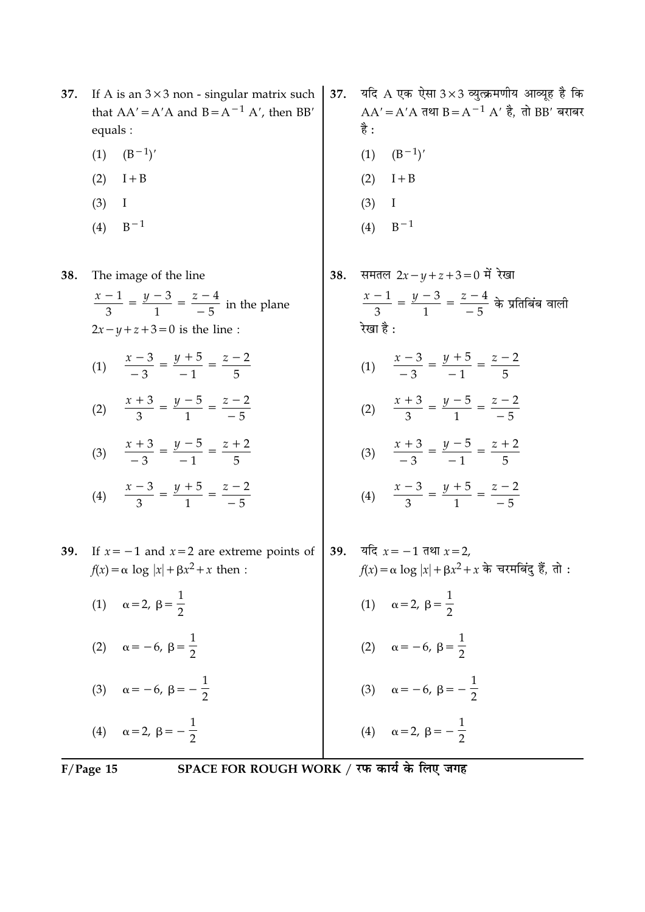- If A is an  $3 \times 3$  non singular matrix such 37. that  $AA' = A'A$  and  $B = A^{-1} A'$ , then BB' equals :
	- $(B^{-1})'$  $(1)$
	- $(2)$  I + B
	- $(3)$  $\bf{I}$
	- $B^{-1}$  $(4)$

38. The image of the line

- $\frac{x-1}{2} = \frac{y-3}{1} = \frac{z-4}{-5}$  in the plane  $2x-y+z+3=0$  is the line:
- (1)  $\frac{x-3}{-3} = \frac{y+5}{-1} = \frac{z-2}{5}$
- (2)  $\frac{x+3}{3} = \frac{y-5}{1} = \frac{z-2}{-5}$
- (3)  $\frac{x+3}{-3} = \frac{y-5}{-1} = \frac{z+2}{5}$
- (4)  $\frac{x-3}{3} = \frac{y+5}{1} = \frac{z-2}{-5}$
- 39. If  $x = -1$  and  $x = 2$  are extreme points of  $f(x) = \alpha \log |x| + \beta x^2 + x$  then:
	- (1)  $\alpha = 2, \ \beta = \frac{1}{2}$ (2)  $\alpha = -6, \ \beta = \frac{1}{2}$ (3)  $\alpha = -6, \beta = -\frac{1}{2}$

(4)  $\alpha = 2, \beta = -\frac{1}{2}$ 

- यदि  $A$  एक ऐसा  $3 \times 3$  व्युत्क्रमणीय आव्यूह है कि 37.  $AA' = A'A$  तथा B =  $A^{-1}A'$  है, तो BB' बराबर है:  $(1)$   $(B<sup>-1</sup>)'$  $(2)$  $I + B$  $(3)$ Ι
	- $B-1$  $(4)$
- समतल  $2x y + z + 3 = 0$  में रेखा 38.  $\frac{x-1}{2} = \frac{y-3}{1} = \frac{z-4}{-5}$  के प्रतिबिंब वाली रेखा है : (1)  $\frac{x-3}{-3} = \frac{y+5}{-1} = \frac{z-2}{5}$ (2)  $\frac{x+3}{3} = \frac{y-5}{1} = \frac{z-2}{-5}$ (3)  $\frac{x+3}{-3} = \frac{y-5}{-1} = \frac{z+2}{5}$ 
	- (4)  $\frac{x-3}{2} = \frac{y+5}{1} = \frac{z-2}{-5}$
- यदि  $x = -1$  तथा  $x = 2$ , 39.  $f(x) = \alpha \log |x| + \beta x^2 + x$  के चरमबिंद हैं, तो : (1)  $\alpha = 2, \ \beta = \frac{1}{2}$ (2)  $\alpha = -6, \ \beta = \frac{1}{2}$ (3)  $\alpha = -6, \ \beta = -\frac{1}{2}$ (4)  $\alpha = 2, \beta = -\frac{1}{2}$

 $F/Page$  15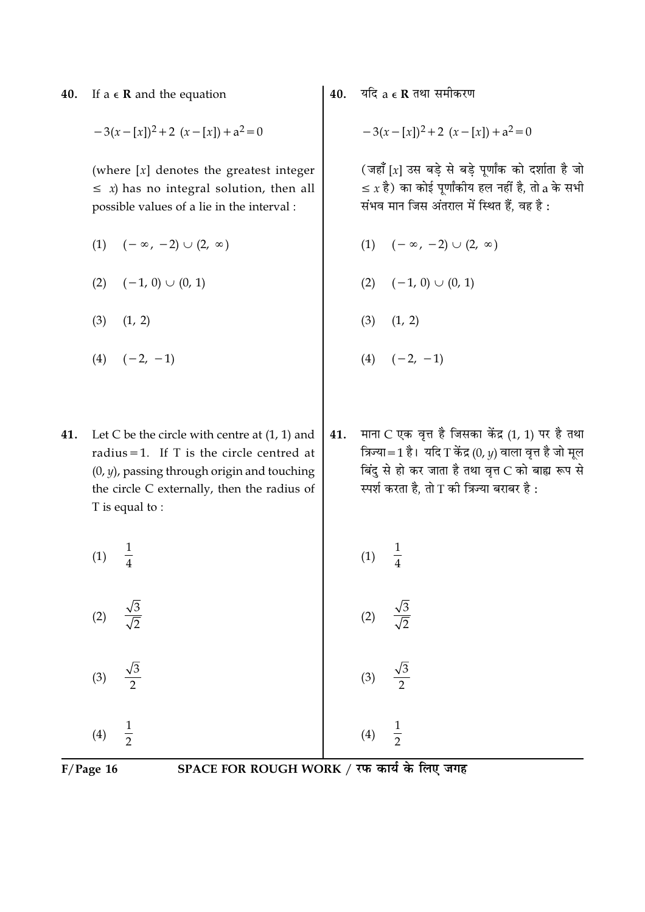If  $a \in \mathbb{R}$  and the equation 40.

$$
-3(x-[x])^2+2(x-[x])+a^2=0
$$

(where  $[x]$  denotes the greatest integer  $\leq$  *x*) has no integral solution, then all possible values of a lie in the interval :

- $(1)$   $(-\infty, -2)$   $\cup$   $(2, \infty)$
- $(2)$   $(-1, 0)$   $\cup$   $(0, 1)$
- $(3)$   $(1, 2)$
- $(4)$   $(-2, -1)$
- 41. Let C be the circle with centre at  $(1, 1)$  and radius = 1. If  $T$  is the circle centred at  $(0, y)$ , passing through origin and touching the circle C externally, then the radius of T is equal to:
	- $\frac{1}{4}$  $(1)$
	- $(2)$

 $\frac{\sqrt{3}}{\sqrt{2}}$ 

$$
(3) \quad \frac{\sqrt{3}}{2}
$$

 $\frac{1}{2}$  $(4)$ 

 $F/Page$  16

SPACE FOR ROUGH WORK / रफ कार्य के लिए जगह

यदि  $a \in \mathbf{R}$  तथा समीकरण 40.

$$
-3(x-[x])^2+2(x-[x])+a^2=0
$$

(जहाँ [x] उस बड़े से बड़े पूर्णांक को दर्शाता है जो  $\leq x$  है) का कोई पूर्णांकीय हल नहीं है, तो a के सभी संभव मान जिस अंतराल में स्थित हैं, वह है:

- $(-\infty, -2) \cup (2, \infty)$  $(1)$
- $(2)$   $(-1, 0)$   $\cup$   $(0, 1)$
- $(3)$  $(1, 2)$
- $(4)$   $(-2, -1)$
- माना C एक वृत्त है जिसका केंद्र (1, 1) पर है तथा 41. त्रिज्या=1 है। यदि T केंद्र  $(0, y)$  वाला वृत्त है जो मूल बिंदु से हो कर जाता है तथा वृत्त C को बाह्य रूप से स्पर्श करता है, तो T की त्रिज्या बराबर है:

$$
(1) \quad \frac{1}{4}
$$

 $(2)$ 

 $(3)$ 

 $(4)$ 

 $\frac{1}{2}$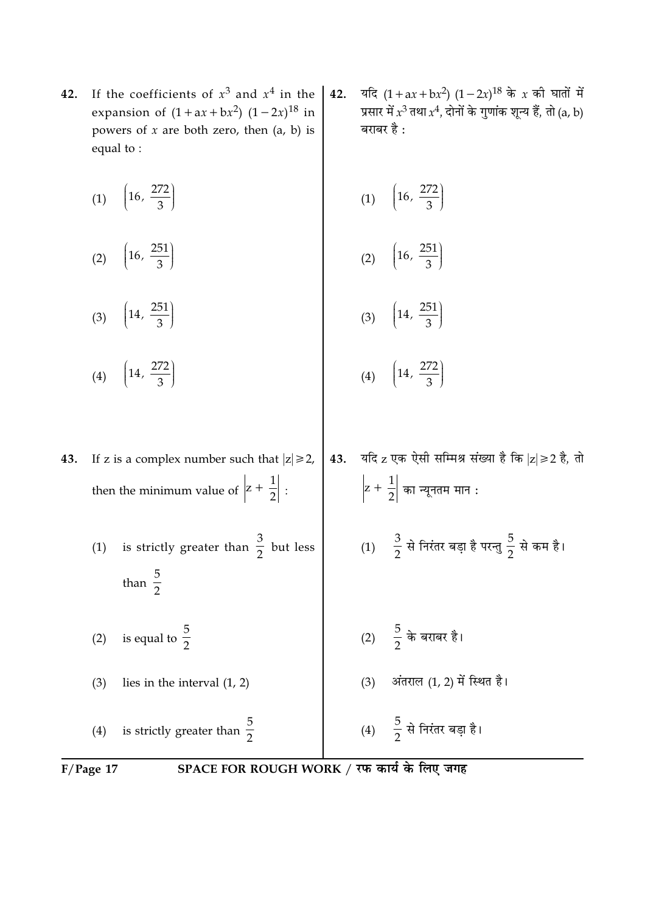- If the coefficients of  $x^3$  and  $x^4$  in the 42. expansion of  $(1 + ax + bx^2) (1 - 2x)^{18}$  in powers of  $x$  are both zero, then  $(a, b)$  is equal to:
	- (1)  $\left(16, \frac{272}{3}\right)$  $\overline{C}$ (2)  $\left(16, \frac{251}{3}\right)$ 
		- (3)  $\left(14, \frac{251}{3}\right)$ (4)  $\left(14, \frac{272}{3}\right)$  $\left(14, \frac{272}{3}\right)$  $(4)$

If z is a complex number such that  $|z| \ge 2$ , 43. then the minimum value of  $\left|z+\frac{1}{2}\right|$ :

- (1) is strictly greater than  $\frac{3}{2}$  but less than  $\frac{5}{2}$
- (2) is equal to  $\frac{5}{2}$

 $(3)$ lies in the interval  $(1, 2)$ 

is strictly greater than  $\frac{5}{2}$  $(4)$ 

 $F/Page$  17

SPACE FOR ROUGH WORK / रफ कार्य के लिए जगह

43.

यदि  $(1 + ax + bx^2) (1 - 2x)^{18}$  के x की घातों में 42. प्रसार में  $x^3$  तथा  $x^4$ , दोनों के गुणांक शून्य हैं, तो (a, b) बराबर है :

$$
(1) \quad \left(16, \frac{272}{3}\right)
$$

$$
(2) \quad \left(16, \frac{251}{3}\right)
$$

$$
(3) \quad \left(14, \frac{251}{3}\right)
$$

(1)  $\frac{3}{2}$  से निरंतर बड़ा है परन्तु  $\frac{5}{2}$  से कम है।

यदि  $z$  एक ऐसी सम्मिश्र संख्या है कि  $|z| \geq 2$  है, तो

- 
- (3) अंतराल (1, 2) में स्थित है।
- 
- 

(4)  $\frac{5}{2}$  से निरंतर बड़ा है।

- (2)  $\frac{5}{2}$  के बराबर है।
- 

 $\left|z+\frac{1}{2}\right|$  का न्यूनतम मान :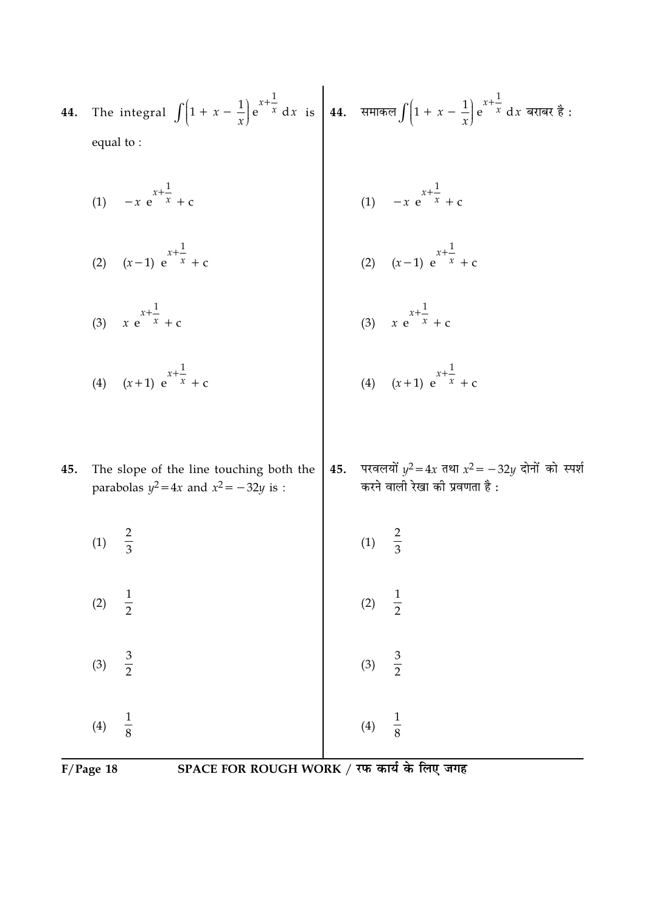| 44. The integral $\int (1 + x - \frac{1}{x}) e^{x + \frac{1}{x}} dx$ is $\int 44$ . समाकल $\int (1 + x - \frac{1}{x}) e^{x + \frac{1}{x}} dx$ बराबर है: |  |
|---------------------------------------------------------------------------------------------------------------------------------------------------------|--|
| equal to :                                                                                                                                              |  |
|                                                                                                                                                         |  |

(1)  $-x e^{x + \frac{1}{x}} + c$ <br>(2)  $(x-1) e^{x + \frac{1}{x}} + c$ (1)  $-x e^{x + \frac{1}{x}} + c$ <br>(2)  $(x-1) e^{x + \frac{1}{x}} + c$ 

(3) 
$$
x e^{x + \frac{1}{x}} + c
$$
  
\n(4)  $(x+1) e^{x + \frac{1}{x}} + c$   
\n(5)  $x e^{x + \frac{1}{x}} + c$   
\n(6)  $x e^{x + \frac{1}{x}} + c$   
\n(7)  $(x+1) e^{x + \frac{1}{x}} + c$ 

45.

| (1) | $\frac{2}{3}$ | (1) | $\frac{2}{3}$ |
|-----|---------------|-----|---------------|
| (2) | $\frac{1}{2}$ | (2) | $\frac{1}{2}$ |
| (3) | $\frac{3}{2}$ | (3) | $\frac{3}{2}$ |
| (4) | $\frac{1}{8}$ | (4) | $\frac{1}{8}$ |

 $\overline{F/Page 18}$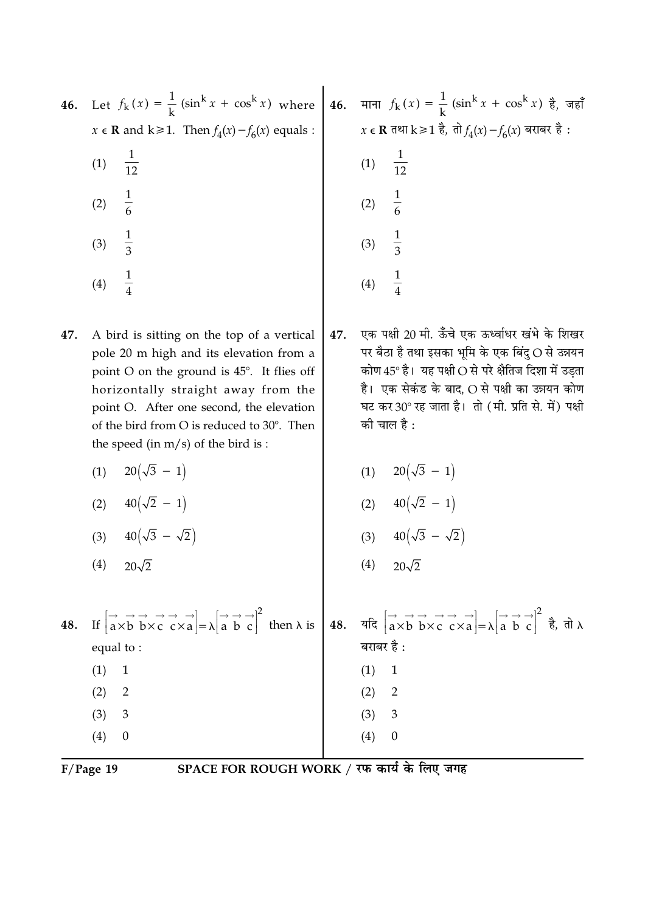| 46. | Let $f_k(x) = \frac{1}{k} (\sin^k x + \cos^k x)$ where                                                                                                                                                                                                                                                                   | 46. | माना $f_k(x) = \frac{1}{k} (\sin^k x + \cos^k x)$ है, जहाँ                                                                                                                                                                                                                                                  |
|-----|--------------------------------------------------------------------------------------------------------------------------------------------------------------------------------------------------------------------------------------------------------------------------------------------------------------------------|-----|-------------------------------------------------------------------------------------------------------------------------------------------------------------------------------------------------------------------------------------------------------------------------------------------------------------|
|     | $x \in \mathbf{R}$ and $k \ge 1$ . Then $f_4(x) - f_6(x)$ equals :                                                                                                                                                                                                                                                       |     | $x \in \mathbf{R}$ तथा k ≥ 1 है, तो $f_4(x) - f_6(x)$ बराबर है :                                                                                                                                                                                                                                            |
|     | $\frac{1}{12}$<br>(1)                                                                                                                                                                                                                                                                                                    |     | $\frac{1}{12}$<br>(1)                                                                                                                                                                                                                                                                                       |
|     | $\frac{1}{6}$<br>(2)                                                                                                                                                                                                                                                                                                     |     | $\frac{1}{6}$<br>(2)                                                                                                                                                                                                                                                                                        |
|     | $\frac{1}{3}$<br>(3)                                                                                                                                                                                                                                                                                                     |     | $\frac{1}{3}$<br>(3)                                                                                                                                                                                                                                                                                        |
|     | $\frac{1}{4}$<br>(4)                                                                                                                                                                                                                                                                                                     |     | $\frac{1}{4}$<br>(4)                                                                                                                                                                                                                                                                                        |
| 47. | A bird is sitting on the top of a vertical<br>pole 20 m high and its elevation from a<br>point $O$ on the ground is $45^\circ$ . It flies off<br>horizontally straight away from the<br>point O. After one second, the elevation<br>of the bird from O is reduced to 30°. Then<br>the speed (in $m/s$ ) of the bird is : | 47. | एक पक्षी 20 मी. ऊँचे एक ऊर्ध्वाधर खंभे के शिखर<br>पर बैठा है तथा इसका भूमि के एक बिंदु $\mathrm{O}\,\mathrm{\dot{a}}$ उन्नयन<br>कोण 45° है। यह पक्षी O से परे क्षैतिज दिशा में उड़ता<br>है।  एक सेकंड के बाद, O से पक्षी का उन्नयन कोण<br>घट कर 30° रह जाता है। तो (मी. प्रति से. में) पक्षी<br>की चाल है : |
|     | $20(\sqrt{3}-1)$<br>(1)                                                                                                                                                                                                                                                                                                  |     | (1) $20(\sqrt{3} - 1)$                                                                                                                                                                                                                                                                                      |
|     | (2) $40(\sqrt{2}-1)$                                                                                                                                                                                                                                                                                                     |     | (2) $40(\sqrt{2} - 1)$                                                                                                                                                                                                                                                                                      |
|     | (3) $40(\sqrt{3} - \sqrt{2})$                                                                                                                                                                                                                                                                                            |     | (3) $40(\sqrt{3} - \sqrt{2})$                                                                                                                                                                                                                                                                               |
|     | (4)<br>$20\sqrt{2}$                                                                                                                                                                                                                                                                                                      |     | (4)<br>$20\sqrt{2}$                                                                                                                                                                                                                                                                                         |
| 48. | If $\begin{vmatrix} \rightarrow & \rightarrow & \rightarrow & \rightarrow \\ a \times b & b \times c & c \times a \end{vmatrix} = \lambda \begin{vmatrix} \rightarrow & \rightarrow & \rightarrow \\ a & b & c \end{vmatrix}^2$ then $\lambda$ is                                                                        | 48. | यदि $\begin{bmatrix} \rightarrow & \rightarrow & \rightarrow & \rightarrow \\ a \times b & b \times c & c \times a \end{bmatrix} = \lambda \begin{bmatrix} \rightarrow & \rightarrow & \rightarrow \\ a & b & c \end{bmatrix}^2$ है, तो λ                                                                   |
|     | equal to:                                                                                                                                                                                                                                                                                                                |     | बराबर है :                                                                                                                                                                                                                                                                                                  |
|     | (1)<br>$\mathbf{1}$                                                                                                                                                                                                                                                                                                      |     | (1)<br>$\mathbf 1$                                                                                                                                                                                                                                                                                          |
|     | (2)<br>$\overline{2}$<br>(3)<br>3                                                                                                                                                                                                                                                                                        |     | (2)<br>$\overline{2}$<br>3<br>(3)                                                                                                                                                                                                                                                                           |
|     | $\boldsymbol{0}$<br>(4)                                                                                                                                                                                                                                                                                                  |     | (4)<br>$\boldsymbol{0}$                                                                                                                                                                                                                                                                                     |
|     |                                                                                                                                                                                                                                                                                                                          |     |                                                                                                                                                                                                                                                                                                             |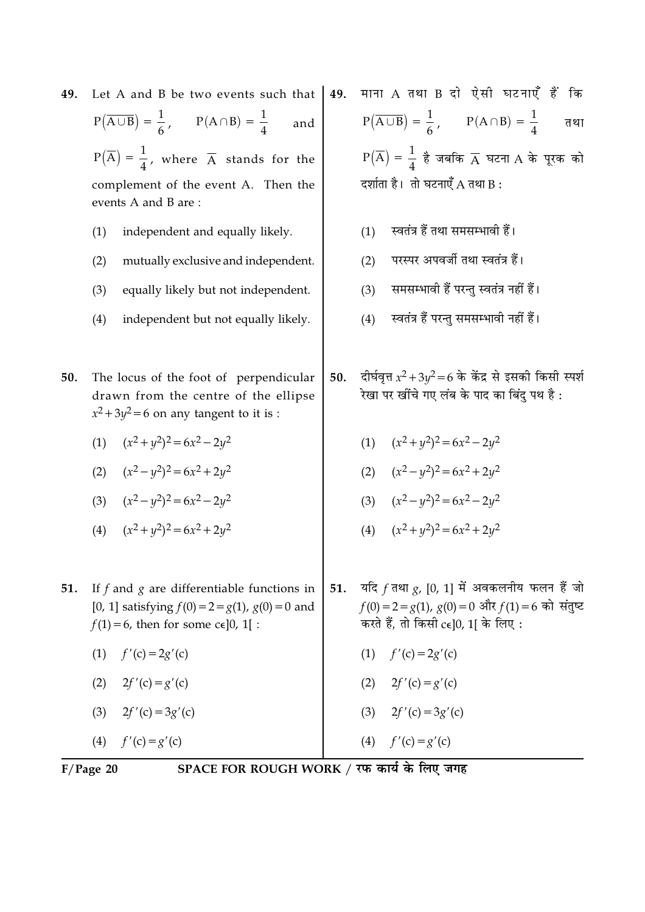| 49. | Let A and B be two events such that                                                                                                                       |     | माना A तथा B दो ऐसी घटनाएँ हैं<br>कि                                                                                                                 |
|-----|-----------------------------------------------------------------------------------------------------------------------------------------------------------|-----|------------------------------------------------------------------------------------------------------------------------------------------------------|
|     | $P(\overline{A \cup B}) = \frac{1}{6}, \qquad P(A \cap B) = \frac{1}{4}$<br>and                                                                           |     | $P(\overline{A \cup B}) = \frac{1}{6}, \qquad P(A \cap B) = \frac{1}{4}$<br>तथा                                                                      |
|     | $P(\overline{A}) = \frac{1}{4}$ , where $\overline{A}$ stands for the                                                                                     |     | $P(\overline{A}) = \frac{1}{4}$ है जबकि $\overline{A}$ घटना A के पूरक को                                                                             |
|     | complement of the event A. Then the<br>events A and B are:                                                                                                |     | दर्शाता है। तो घटनाएँ $A$ तथा B:                                                                                                                     |
|     | independent and equally likely.<br>(1)                                                                                                                    |     | स्वतंत्र हैं तथा समसम्भावी हैं।<br>(1)                                                                                                               |
|     | (2)<br>mutually exclusive and independent.                                                                                                                |     | परस्पर अपवर्जी तथा स्वतंत्र हैं।<br>(2)                                                                                                              |
|     | (3)<br>equally likely but not independent.                                                                                                                |     | समसम्भावी हैं परन्तु स्वतंत्र नहीं हैं।<br>(3)                                                                                                       |
|     | (4)<br>independent but not equally likely.                                                                                                                |     | स्वतंत्र हैं परन्तु समसम्भावी नहीं हैं।<br>(4)                                                                                                       |
|     |                                                                                                                                                           |     |                                                                                                                                                      |
| 50. | The locus of the foot of perpendicular<br>drawn from the centre of the ellipse<br>$x^2 + 3y^2 = 6$ on any tangent to it is :                              | 50. | दीर्घवृत्त $x^2 + 3y^2 = 6$ के केंद्र से इसकी किसी स्पर्श<br>रेखा पर खींचे गए लंब के पाद का बिंदु पथ है :                                            |
|     | $(x^2+y^2)^2=6x^2-2y^2$<br>(1)                                                                                                                            |     | (1) $(x^2+y^2)^2=6x^2-2y^2$                                                                                                                          |
|     | $(x^2 - y^2)^2 = 6x^2 + 2y^2$<br>(2)                                                                                                                      |     | $(x^2 - y^2)^2 = 6x^2 + 2y^2$<br>(2)                                                                                                                 |
|     | (3) $(x^2 - y^2)^2 = 6x^2 - 2y^2$                                                                                                                         |     | (3) $(x^2 - y^2)^2 = 6x^2 - 2y^2$                                                                                                                    |
|     | $(x^2+y^2)^2=6x^2+2y^2$<br>(4)                                                                                                                            |     | $(x^2+y^2)^2=6x^2+2y^2$<br>(4)                                                                                                                       |
|     |                                                                                                                                                           |     |                                                                                                                                                      |
| 51. | If $f$ and $g$ are differentiable functions in<br>[0, 1] satisfying $f(0) = 2 = g(1)$ , $g(0) = 0$ and<br>$f(1) = 6$ , then for some c $\epsilon$ ]0, 1[: |     | 51. यदि $f$ तथा $g$ , [0, 1] में अवकलनीय फलन हैं जो<br>$f(0) = 2 = g(1), g(0) = 0$ और $f(1) = 6$ को संतुष्ट<br>करते हैं, तो किसी $ce[0, 1]$ के लिए : |
|     | (1)<br>$f'(c) = 2g'(c)$                                                                                                                                   |     | (1) $f'(c) = 2g'(c)$                                                                                                                                 |
|     | (2) $2f'(c) = g'(c)$                                                                                                                                      |     | (2) $2f'(c) = g'(c)$                                                                                                                                 |
|     | (3) $2f'(c) = 3g'(c)$                                                                                                                                     |     | (3) $2f'(c) = 3g'(c)$                                                                                                                                |
|     | (4) $f'(c) = g'(c)$                                                                                                                                       |     | (4) $f'(c) = g'(c)$                                                                                                                                  |

F/Page 20 SPACE FOR ROUGH WORK / रफ कार्य के लिए जगह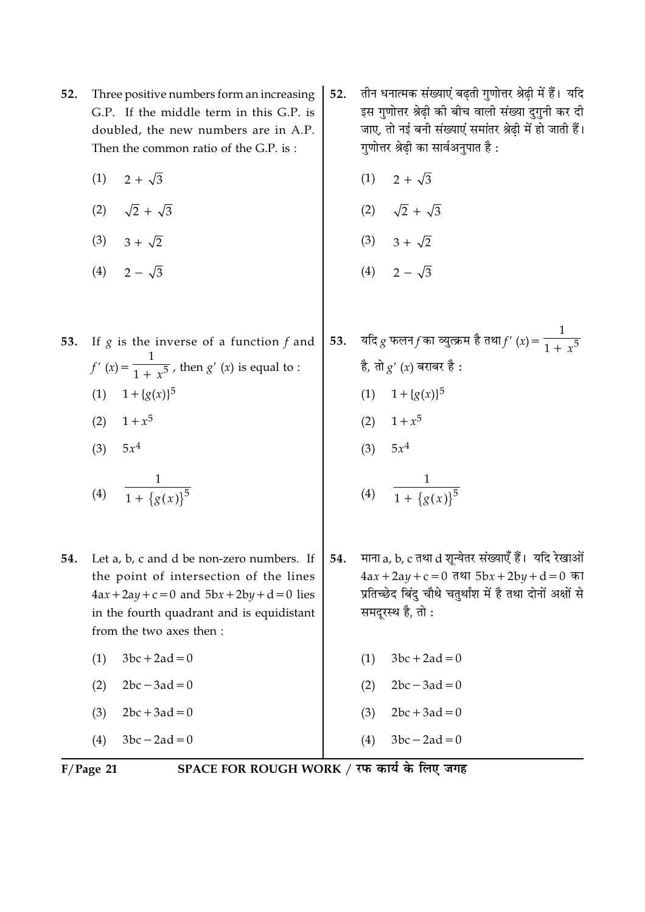- Three positive numbers form an increasing 52. G.P. If the middle term in this G.P. is doubled, the new numbers are in A.P. Then the common ratio of the G.P. is:
	- $2 + \sqrt{3}$  $(1)$
	- (2)  $\sqrt{2} + \sqrt{3}$
	- $(3)$   $3 + \sqrt{2}$
	- (4)  $2 \sqrt{3}$
- 53. If  $g$  is the inverse of a function  $f$  and  $f'(x) = \frac{1}{1 + x^5}$ , then  $g'(x)$  is equal to : (1)  $1 + {g(x)}^5$ 
	- (2)  $1 + x^5$
	- (3)  $5x^4$
	- (4)  $\frac{1}{1 + \{g(x)\}^5}$
- **54.** Let a, b, c and d be non-zero numbers. If the point of intersection of the lines  $4ax + 2ay + c = 0$  and  $5bx + 2by + d = 0$  lies in the fourth quadrant and is equidistant from the two axes then :
	- $3bc + 2ad = 0$  $(1)$  $2bc - 3ad = 0$  $(2)$
	- $2bc + 3ad = 0$  $(3)$
	- $(4)$  $3bc - 2ad = 0$
- तीन धनात्मक संख्याएं बढ़ती गुणोत्तर श्रेढ़ी में हैं। यदि 52. इस गुणोत्तर श्रेढ़ी की बीच वाली संख्या दुगुनी कर दी जाए. तो नई बनी संख्याएं समांतर श्रेढी में हो जाती हैं। गुणोत्तर श्रेढी का सार्वअनुपात है :
	- $(1)$   $2 + \sqrt{3}$
	- (2)  $\sqrt{2} + \sqrt{3}$
	- (3)  $3 + \sqrt{2}$
	- (4)  $2-\sqrt{3}$
- यदि  $g$  फलन $f$ का व्युत्क्रम है तथा $f'(x) = \frac{1}{1+x^5}$ 53. है, तो  $g'(x)$  बराबर है: (1)  $1 + {g(x)}^5$ (2)  $1 + x^5$ (3)  $5x^4$ 
	- (4)  $\frac{1}{1 + {\{g(x)\}}^5}$
- माना a, b, c तथा d शून्येतर संख्याएँ हैं। यदि रेखाओं 54.  $4ax + 2ay + c = 0$  तथा  $5bx + 2by + d = 0$  का प्रतिच्छेद बिंदु चौथे चतुर्थांश में है तथा दोनों अक्षों से समदरस्थ है. तो:
	- $3bc + 2ad = 0$  $(1)$
	- $2bc 3ad = 0$  $(2)$
	- $2bc + 3ad = 0$  $(3)$
	- $(4)$  $3bc - 2ad = 0$

 $F/Page$  21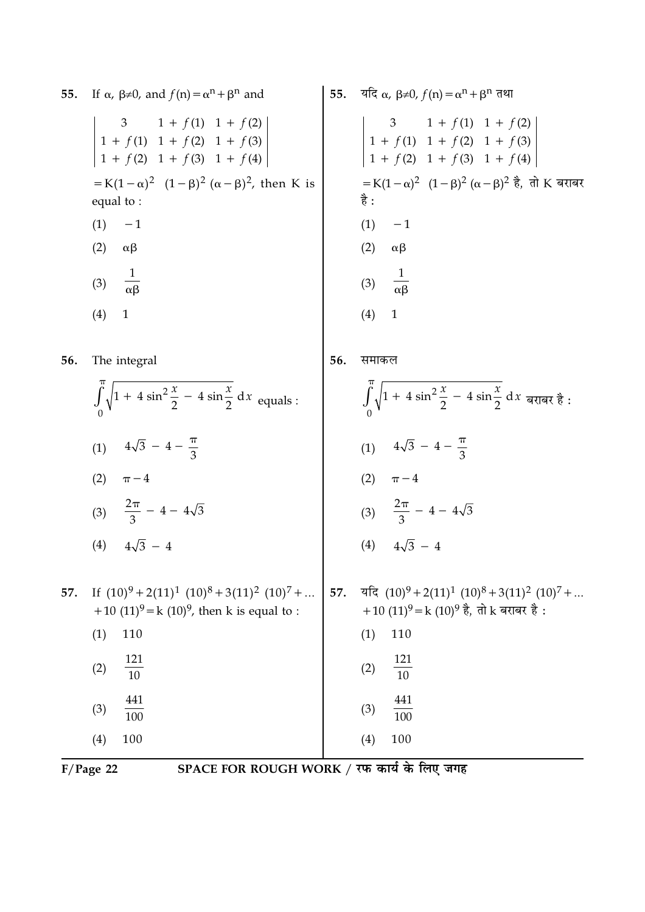| 55. | If $\alpha$ , $\beta \neq 0$ , and $f(n) = \alpha^n + \beta^n$ and                                                       |     | 55. यदि $\alpha$ , $\beta \neq 0$ , $f(n) = \alpha^n + \beta^n$ तथा                                                           |
|-----|--------------------------------------------------------------------------------------------------------------------------|-----|-------------------------------------------------------------------------------------------------------------------------------|
|     | 3 1 + f(1) 1 + f(2)<br>1 + f(1) 1 + f(2) 1 + f(3)<br>1 + f(2) 1 + f(3) 1 + f(4)                                          |     | $\begin{vmatrix}\n3 & 1 + f(1) & 1 + f(2) \\ 1 + f(1) & 1 + f(2) & 1 + f(3) \\ 1 + f(2) & 1 + f(3) & 1 + f(4)\n\end{vmatrix}$ |
|     | = K(1 – $\alpha$ ) <sup>2</sup> (1 – $\beta$ ) <sup>2</sup> ( $\alpha$ – $\beta$ ) <sup>2</sup> , then K is<br>equal to: |     | =K(1 – α) <sup>2</sup> (1 – β) <sup>2</sup> (α – β) <sup>2</sup> है, तो K बराबर<br>है :                                       |
|     | (1)<br>$-1$                                                                                                              |     | (1)<br>$-1$                                                                                                                   |
|     | (2)<br>$\alpha\beta$                                                                                                     |     | (2)<br>$\alpha\beta$                                                                                                          |
|     | $\frac{1}{\alpha\beta}$<br>(3)                                                                                           |     | $\frac{1}{\alpha\beta}$<br>(3)                                                                                                |
|     | (4)<br>$\mathbf{1}$                                                                                                      |     | (4)<br>$\mathbf{1}$                                                                                                           |
| 56. | The integral                                                                                                             | 56. | समाकल                                                                                                                         |
|     | $\int_{0}^{\pi} \sqrt{1 + 4 \sin^2 \frac{x}{2} - 4 \sin \frac{x}{2}} dx$ equals :                                        |     | $\int_{0}^{\pi} \sqrt{1 + 4 \sin^2 \frac{x}{2} - 4 \sin \frac{x}{2}} dx$ बराबर है :                                           |
|     | (1) $4\sqrt{3} - 4 - \frac{\pi}{3}$                                                                                      |     | (1) $4\sqrt{3} - 4 - \frac{\pi}{3}$                                                                                           |
|     | (2)<br>$\pi - 4$                                                                                                         |     | (2)<br>$\pi - 4$                                                                                                              |
|     | (3) $\frac{2\pi}{3}$ - 4 - 4 $\sqrt{3}$                                                                                  |     | (3) $\frac{2\pi}{3}$ - 4 - 4 $\sqrt{3}$                                                                                       |
|     | (4) $4\sqrt{3} - 4$                                                                                                      |     | (4) $4\sqrt{3} - 4$                                                                                                           |
|     |                                                                                                                          |     |                                                                                                                               |
| 57. | If $(10)^9 + 2(11)^1 (10)^8 + 3(11)^2 (10)^7 + $<br>+10 $(11)^9$ = k $(10)^9$ , then k is equal to :                     | 57. | यदि $(10)^9 + 2(11)^1 (10)^8 + 3(11)^2 (10)^7 + $<br>+10 (11) <sup>9</sup> = k (10) <sup>9</sup> है, तो k बराबर है :          |
|     | (1)<br>110                                                                                                               |     | (1)<br>110                                                                                                                    |
|     | 121                                                                                                                      |     |                                                                                                                               |
|     | (2)<br>$\overline{10}$                                                                                                   |     | $\frac{121}{10}$<br>(2)                                                                                                       |
|     | 441<br>(3)<br>100                                                                                                        |     | 441<br>(3)<br>$\overline{100}$                                                                                                |
|     | 100<br>(4)                                                                                                               |     | 100<br>(4)                                                                                                                    |
|     |                                                                                                                          |     |                                                                                                                               |

F/Page 22 SPACE FOR ROUGH WORK / रफ कार्य के लिए जगह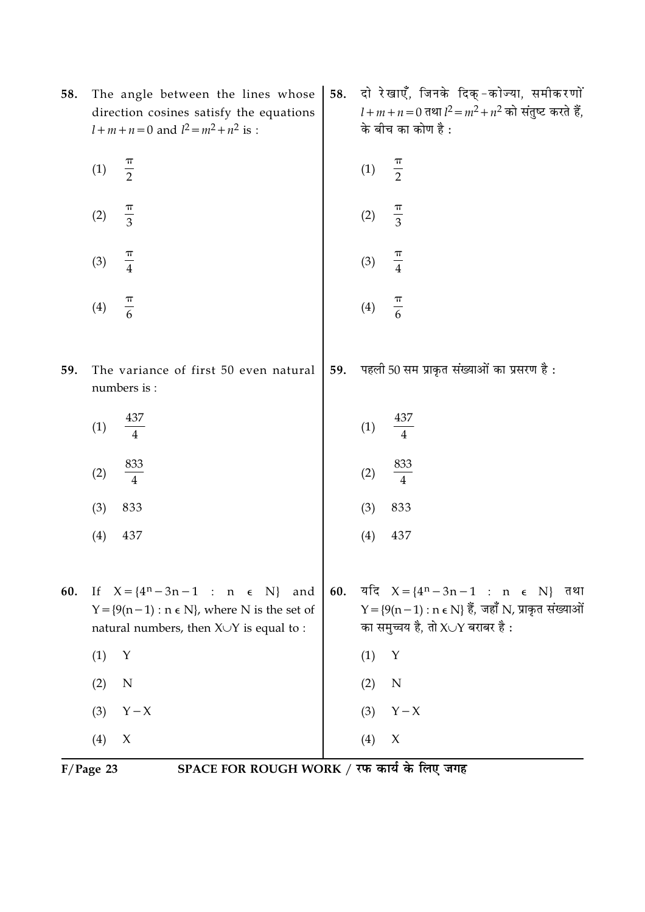| 58. | The angle between the lines whose<br>direction cosines satisfy the equations<br>$l+m+n=0$ and $l^2 = m^2 + n^2$ is :                            | 58. | दो रेखाएँ, जिनके दिक्-कोज्या, समीकरणों<br>$l + m + n = 0$ तथा $l^2 = m^2 + n^2$ को संतुष्ट करते हैं,<br>के बीच का कोण है :                     |
|-----|-------------------------------------------------------------------------------------------------------------------------------------------------|-----|------------------------------------------------------------------------------------------------------------------------------------------------|
|     | $\frac{\pi}{2}$<br>(1)                                                                                                                          |     | $\frac{\pi}{2}$<br>(1)                                                                                                                         |
|     | $\frac{\pi}{3}$<br>(2)                                                                                                                          |     | $\frac{\pi}{3}$<br>(2)                                                                                                                         |
|     | $\frac{\pi}{4}$<br>(3)                                                                                                                          |     | $\frac{\pi}{4}$<br>(3)                                                                                                                         |
|     | $\frac{\pi}{6}$<br>(4)                                                                                                                          |     | $\frac{\pi}{6}$<br>(4)                                                                                                                         |
| 59. | The variance of first 50 even natural<br>numbers is :                                                                                           | 59. | पहली 50 सम प्राकृत संख्याओं का प्रसरण है:                                                                                                      |
|     | 437<br>(1)<br>$\overline{4}$                                                                                                                    |     | 437<br>(1)<br>$\overline{4}$                                                                                                                   |
|     | $\frac{833}{4}$<br>(2)                                                                                                                          |     | $\frac{833}{4}$<br>(2)                                                                                                                         |
|     | 833<br>(3)                                                                                                                                      |     | 833<br>(3)                                                                                                                                     |
|     | (4)<br>437                                                                                                                                      |     | 437<br>(4)                                                                                                                                     |
| 60. | If $X = \{4^n - 3n - 1 : n \in N\}$ and<br>$Y = \{9(n-1) : n \in N\}$ , where N is the set of<br>natural numbers, then $X \cup Y$ is equal to : | 60. | यदि $X = \{4^n - 3n - 1 : n \in N\}$ तथा<br>$Y = \{9(n-1) : n \in N\}$ हैं, जहाँ N, प्राकृत संख्याओं<br>का समुच्चय है, तो $X\cup Y$ बराबर है : |
|     | (1)<br>Υ                                                                                                                                        |     | (1)<br>Y                                                                                                                                       |
|     | $\mathbb N$<br>(2)                                                                                                                              |     | (2)<br>$\mathbf N$                                                                                                                             |
|     | $Y - X$<br>(3)                                                                                                                                  |     | $Y - X$<br>(3)                                                                                                                                 |
|     | X<br>(4)                                                                                                                                        |     | $\boldsymbol{\chi}$<br>(4)                                                                                                                     |

 $\overline{F/Page 23}$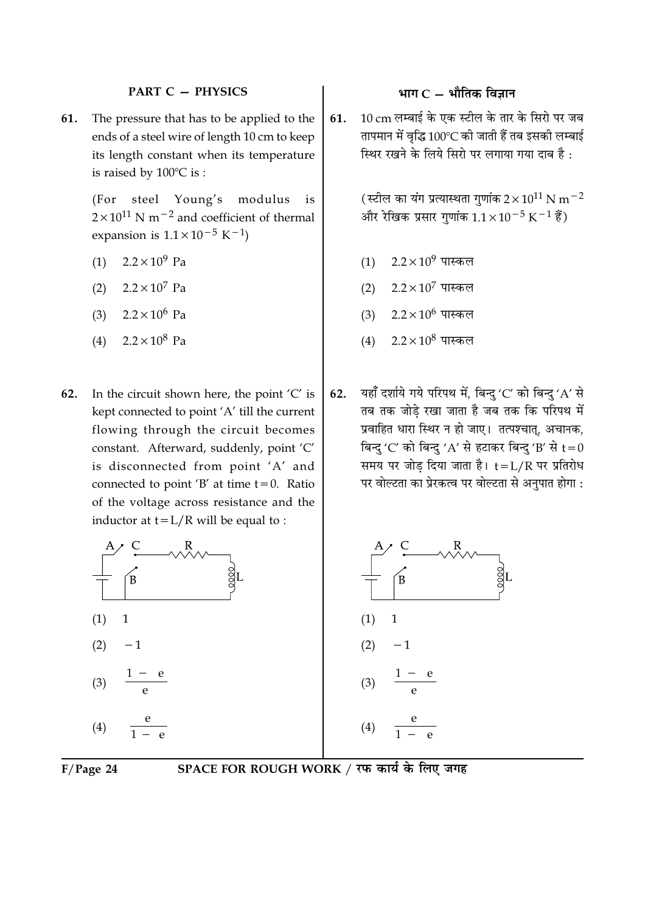## **PART C - PHYSICS**

The pressure that has to be applied to the 61. ends of a steel wire of length 10 cm to keep its length constant when its temperature is raised by  $100^{\circ}$ C is:

> (For steel Young's modulus is  $2 \times 10^{11}$  N m<sup>-2</sup> and coefficient of thermal expansion is  $1.1 \times 10^{-5}$  K<sup>-1</sup>)

- $2.2 \times 10^9$  Pa  $(1)$
- $2.2 \times 10^7$  Pa  $(2)$
- $(3)$  $2.2 \times 10^6$  Pa
- $2.2 \times 10^8$  Pa  $(4)$
- 62. In the circuit shown here, the point  $'C'$  is kept connected to point 'A' till the current flowing through the circuit becomes constant. Afterward, suddenly, point 'C' is disconnected from point 'A' and connected to point 'B' at time  $t = 0$ . Ratio of the voltage across resistance and the inductor at  $t = L/R$  will be equal to :



## भाग $C -$ भौतिक विज्ञान

10 cm लम्बाई के एक स्टील के तार के सिरो पर जब 61. तापमान में वृद्धि 100°C की जाती हैं तब इसकी लम्बाई स्थिर रखने के लिये सिरो पर लगाया गया दाब है:

> (स्टील का यंग प्रत्यास्थता गणांक  $2 \times 10^{11}$  N m $^{-2}$ और रेखिक प्रसार गुणांक  $1.1 \times 10^{-5}$  K<sup>-1</sup> हैं)

- $2.2\times10^9$  पास्कल  $(1)$
- (2)  $2.2 \times 10^7$  पास्कल
- (3)  $2.2 \times 10^6$  पास्कल
- $2.2\times10^8$  पास्कल  $(4)$
- यहाँ दर्शाये गये परिपथ में, बिन्दु 'C' को बिन्दु 'A' से 62. तब तक जोडे रखा जाता है जब तक कि परिपथ में प्रवाहित धारा स्थिर न हो जाए। तत्पश्चात्, अचानक, बिन्दु 'C' को बिन्दु 'A' से हटाकर बिन्दु 'B' से  $t=0$ समय पर जोड़ दिया जाता है। t=L/R पर प्रतिरोध पर वोल्टता का प्रेरकत्व पर वोल्टता से अनुपात होगा :

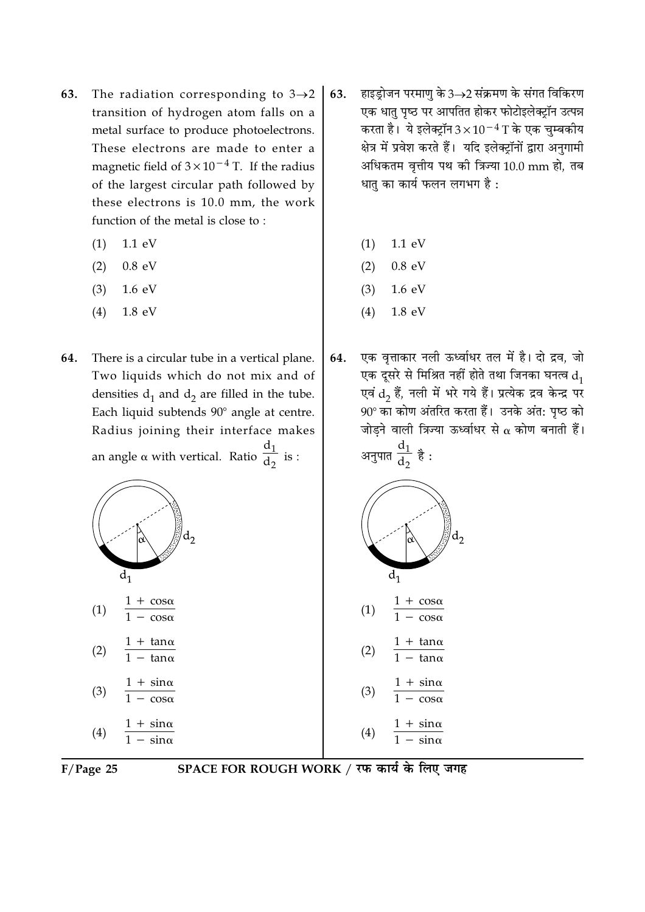- The radiation corresponding to  $3\rightarrow 2$ 63. transition of hydrogen atom falls on a metal surface to produce photoelectrons. These electrons are made to enter a magnetic field of  $3 \times 10^{-4}$  T. If the radius of the largest circular path followed by these electrons is 10.0 mm, the work function of the metal is close to:
	- $(1)$  $1.1 \text{ eV}$
	- $(2)$  $0.8$  eV
	- $(3)$  $1.6 \text{ eV}$
	- $(4)$ 1.8 eV
- 64. There is a circular tube in a vertical plane. Two liquids which do not mix and of densities  $d_1$  and  $d_2$  are filled in the tube. Each liquid subtends 90° angle at centre. Radius joining their interface makes an angle  $\alpha$  with vertical. Ratio  $\frac{d_1}{d_2}$  is :



 $F/Page$  25

SPACE FOR ROUGH WORK / रफ कार्य के लिए जगह

- हाइड्रोजन परमाणु के 3→2 संक्रमण के संगत विकिरण 63. एक धातु पृष्ठ पर आपतित होकर फोटोइलेक्ट्रॉन उत्पन्न करता है। ये इलेक्ट्रॉन $3\times10^{-4}\,\mathrm{T}$  के एक चुम्बकीय क्षेत्र में प्रवेश करते हैं। यदि इलेक्ट्रॉनों द्वारा अनुगामी अधिकतम वृत्तीय पथ की त्रिज्या 10.0 mm हो, तब धात का कार्य फलन लगभग है:
	- $(1)$  $1.1 \text{ eV}$
	- $0.8$  eV  $(2)$
	- $(3)$  $1.6 \text{ eV}$
	- $(4)$ 1.8 eV
- एक वृत्ताकार नली ऊर्ध्वाधर तल में है। दो द्रव, जो 64. एक दूसरे से मिश्रित नहीं होते तथा जिनका घनत्व  $d_1$ एवं  $\mathrm{d}_2$  हैं, नली में भरे गये हैं। प्रत्येक द्रव केन्द्र पर 90° का कोण अंतरित करता हैं। उनके अंत: पृष्ठ को जोड़ने वाली त्रिज्या ऊर्ध्वाधर से  $\alpha$  कोण बनाती हैं। अनुपात  $\frac{d_1}{d_2}$  है :



- $\frac{1 + \tan \alpha}{1 \tan \alpha}$  $(2)$
- $\frac{1 + \sin \alpha}{1 \cos \alpha}$  $(3)$
- $\frac{1 + \sin \alpha}{1 \sin \alpha}$  $(4)$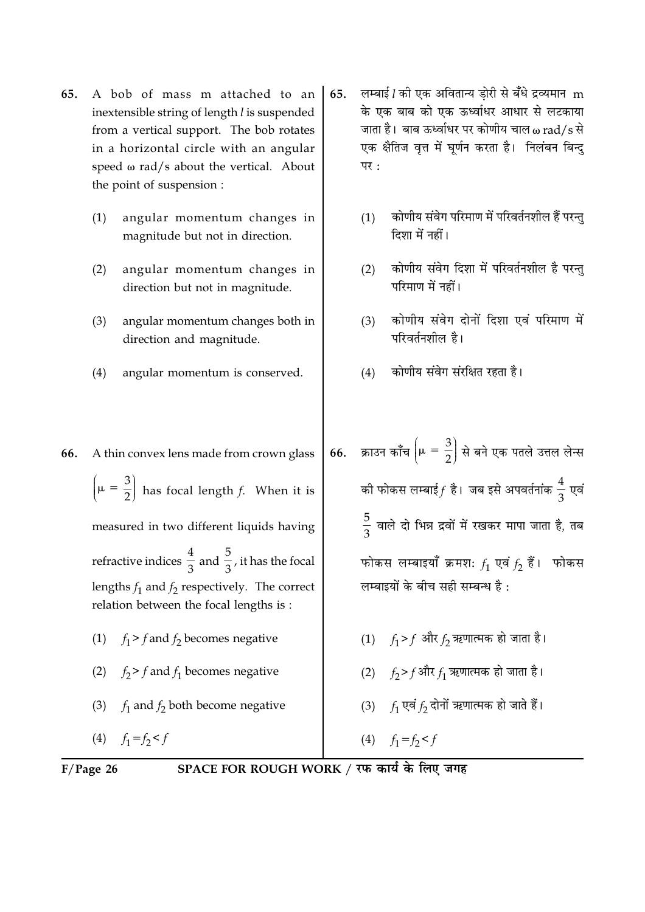- A bob of mass m attached to an 65. inextensible string of length l is suspended from a vertical support. The bob rotates in a horizontal circle with an angular speed  $\omega$  rad/s about the vertical. About the point of suspension:
	- $(1)$ angular momentum changes in magnitude but not in direction.
	- $(2)$ angular momentum changes in direction but not in magnitude.
	- angular momentum changes both in  $(3)$ direction and magnitude.
	- angular momentum is conserved.  $(4)$

A thin convex lens made from crown glass

 $\left[\mu = \frac{3}{2}\right]$  has focal length f. When it is

measured in two different liquids having

refractive indices  $\frac{4}{3}$  and  $\frac{5}{3}$ , it has the focal

lengths  $f_1$  and  $f_2$  respectively. The correct relation between the focal lengths is :

(1)  $f_1 > f$  and  $f_2$  becomes negative

(2)  $f_2 > f$  and  $f_1$  becomes negative

(3)  $f_1$  and  $f_2$  both become negative

लम्बाई l की एक अवितान्य डोरी से बँधे द्रव्यमान m 65. के एक बाब को एक ऊर्ध्वाधर आधार से लटकाया जाता है। बाब ऊर्ध्वाधर पर कोणीय चाल  $\omega$  rad/s से एक क्षैतिज वृत्त में घूर्णन करता है। निलंबन बिन्दु पर:

- कोणीय संवेग परिमाण में परिवर्तनशील हैं परन्त  $(1)$ दिशा में नहीं।
- कोणीय संवेग दिशा में परिवर्तनशील है परन्त  $(2)$ परिमाण में नहीं।
- कोणीय संवेग दोनों दिशा एवं परिमाण में  $(3)$ परिवर्तनशील है।
- कोणीय संवेग संरक्षित रहता है।  $(4)$
- क्राउन काँच  $\left|\mu=\frac{3}{2}\right|$  से बने एक पतले उत्तल लेन्स 66. की फोकस लम्बाई $f$  है। जब इसे अपवर्तनांक  $\frac{4}{3}$  एवं  $\frac{5}{2}$  वाले दो भिन्न द्रवों में रखकर मापा जाता है, तब फोकस लम्बाइयाँ क्रमशः  $f_1$  एवं  $f_2$  हैं। फोकस लम्बाइयों के बीच सही सम्बन्ध है:
- (1)  $f_1 > f$  और  $f_2$  ऋणात्मक हो जाता है। (2)  $f_2 > f$ और  $f_1$  ऋणात्मक हो जाता है। (3)  $f_1$  एवं  $f_2$  दोनों ऋणात्मक हो जाते हैं।

$$
(4) \quad f_1 = f_2 < f
$$

 $F/P$ age 26

(4)  $f_1 = f_2 < f$ 

66.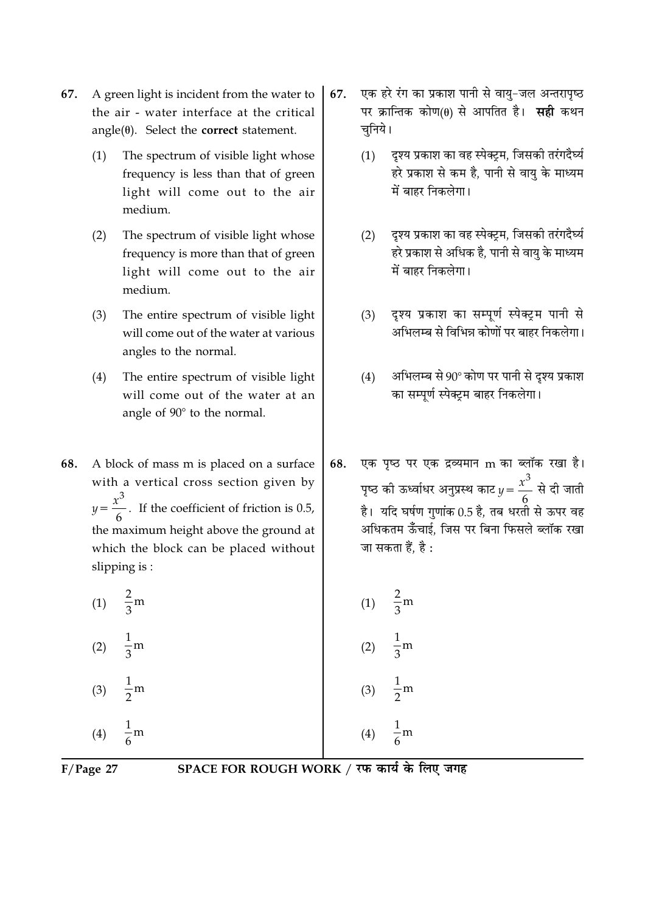- A green light is incident from the water to 67. the air - water interface at the critical  $angle(\theta)$ . Select the **correct** statement.
	- $(1)$ The spectrum of visible light whose frequency is less than that of green light will come out to the air medium.
	- $(2)$ The spectrum of visible light whose frequency is more than that of green light will come out to the air medium.
	- The entire spectrum of visible light  $(3)$ will come out of the water at various angles to the normal.
	- $(4)$ The entire spectrum of visible light will come out of the water at an angle of 90° to the normal.
- 68. A block of mass m is placed on a surface with a vertical cross section given by  $y = \frac{x^3}{6}$ . If the coefficient of friction is 0.5, the maximum height above the ground at which the block can be placed without slipping is:

(1)  $\frac{2}{3}$ m

- (2)  $\frac{1}{3}$ m
- $\frac{1}{2}$ m  $(3)$  $\frac{1}{6}$ m  $(4)$
- एक हरे रंग का प्रकाश पानी से वायु-जल अन्तरापृष्ठ 67. पर क्रान्तिक कोण(θ) से आपतित है। **सही** कथन चनिये।
	- दृश्य प्रकाश का वह स्पेक्ट्रम, जिसकी तरंगदैर्घ्य  $(1)$ हरे प्रकाश से कम है, पानी से वायु के माध्यम में बाहर निकलेगा।
	- दृश्य प्रकाश का वह स्पेक्ट्रम, जिसकी तरंगदैर्घ्य  $(2)$ हरे प्रकाश से अधिक है, पानी से वायु के माध्यम में बाहर निकलेगा।
	- दृश्य प्रकाश का सम्पूर्ण स्पेक्ट्रम पानी से  $(3)$ अभिलम्ब से विभिन्न कोणों पर बाहर निकलेगा।
	- अभिलम्ब से 90° कोण पर पानी से दृश्य प्रकाश  $(4)$ का सम्पूर्ण स्पेक्ट्रम बाहर निकलेगा।
- एक पृष्ठ पर एक द्रव्यमान m का ब्लॉक रखा है। 68. पृष्ठ की ऊर्ध्वाधर अनुप्रस्थ काट  $y = \frac{x^3}{6}$  से दी जाती है। यदि घर्षण गणांक 0.5 है, तब धरती से ऊपर वह अधिकतम ऊँँचाई. जिस पर बिना फिसले ब्लॉक रखा जा सकता हैं. है :

(1) 
$$
\frac{2}{3}
$$
m  
\n(2)  $\frac{1}{3}$ m  
\n(3)  $\frac{1}{2}$ m  
\n(4)  $\frac{1}{6}$ m

 $F/Page$  27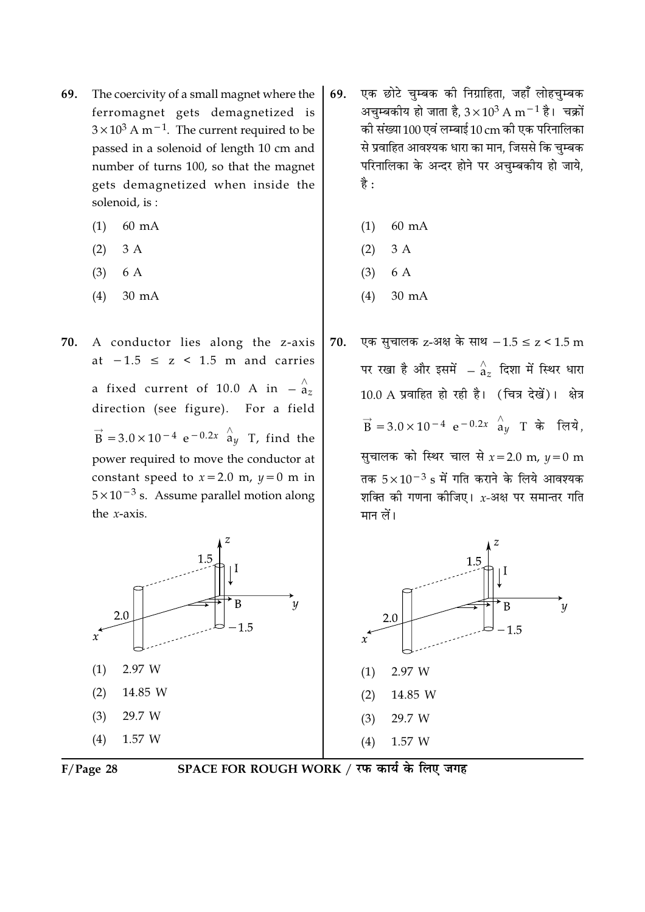- The coercivity of a small magnet where the 69. ferromagnet gets demagnetized is  $3 \times 10^3$  A m<sup>-1</sup>. The current required to be passed in a solenoid of length 10 cm and number of turns 100, so that the magnet gets demagnetized when inside the solenoid, is:
	- 60 mA  $(1)$
	- $(2)$ 3 A
	- $(3)$ 6 A
	- $(4)$  $30 \text{ mA}$
- 70. A conductor lies along the z-axis at  $-1.5 \le z \le 1.5$  m and carries a fixed current of 10.0 A in  $-\frac{\lambda}{a_z}$ direction (see figure). For a field  $\vec{B}$  = 3.0 × 10<sup>-4</sup> e<sup>-0.2x</sup>  $\hat{a}_{y}$  T, find the power required to move the conductor at constant speed to  $x = 2.0$  m,  $y = 0$  m in  $5 \times 10^{-3}$  s. Assume parallel motion along the  $x$ -axis.





SPACE FOR ROUGH WORK / रफ कार्य के लिए जगह

- एक छोटे चुम्बक की निग्राहिता, जहाँ लोहचुम्बक 69. अचुम्बकीय हो जाता है,  $3 \times 10^3$  A m $^{-1}$  है। चक्रों की संख्या 100 एवं लम्बाई 10 cm की एक परिनालिका से प्रवाहित आवश्यक धारा का मान, जिससे कि चुम्बक परिनालिका के अन्दर होने पर अचुम्बकीय हो जाये, है :
	- 60 mA  $(1)$
	- $3A$  $(2)$
	- $(3)$ 6 A
	- $(4)$  $30 \text{ mA}$

एक सुचालक z-अक्ष के साथ  $-1.5 \le z < 1.5$  m 70. पर रखा है और इसमें  $-\mathop{^\wedge}_{\mathbf{a}_z}$  दिशा में स्थिर धारा 10.0 A प्रवाहित हो रही है। (चित्र देखें)। क्षेत्र  $\vec{B} = 3.0 \times 10^{-4} e^{-0.2x}$   $\hat{a}_y$  T के लिये. सुचालक को स्थिर चाल से  $x = 2.0$  m,  $y = 0$  m तक  $5 \times 10^{-3}$  s में गति कराने के लिये आवश्यक शक्ति की गणना कीजिए।  $x$ -अक्ष पर समान्तर गति मान लें।

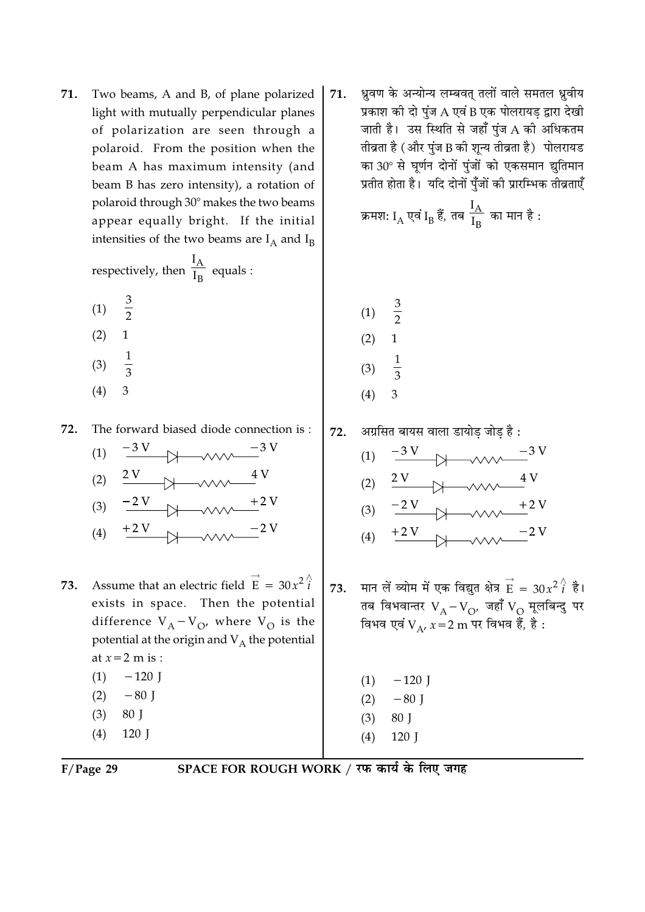Two beams, A and B, of plane polarized 71. light with mutually perpendicular planes of polarization are seen through a polaroid. From the position when the beam A has maximum intensity (and beam B has zero intensity), a rotation of polaroid through 30° makes the two beams appear equally bright. If the initial intensities of the two beams are  $I_A$  and  $I_B$ 

respectively, then 
$$
\frac{I_A}{I_B}
$$
 equals :

- $rac{3}{2}$  $(1)$
- $(2)$  $\mathbf{1}$
- 
- $\frac{1}{3}$  $(3)$
- $(4)$ 3

The forward biased diode connection is: 72.

- $(1)$  $(2)$
- $-2V$  $(3)$  $(4)$
- Assume that an electric field  $\vec{E} = 30x^2 i$ 73. exists in space. Then the potential difference  $V_A - V_O$ , where  $V_O$  is the potential at the origin and  $V_A$  the potential at  $x=2$  m is :  $-120$  J
	- $(1)$  $(2)$  $-80$  J
	- $(3)$ 80 J
	- $(4)$ 120 J

ध्रुवण के अन्योन्य लम्बवत् तलों वाले समतल ध्रुवीय 71. प्रकाश की दो पुंज A एवं B एक पोलरायड़ द्वारा देखी जाती है। उस स्थिति से जहाँ पंज A की अधिकतम तीव्रता है (और पुंज B की शून्य तीव्रता है) पोलरायड का 30° से घर्णन दोनों पूंजों को एकसमान द्युतिमान प्रतीत होता है। यदि दोनों पुँजों की प्रारम्भिक तीव्रताएँ

क्रमशः I<sub>A</sub> एवं I<sub>B</sub> हैं, तब 
$$
\frac{I_A}{I_B}
$$
 का मान है :

- $\frac{3}{2}$  $(1)$  $(2)$ 1
- $(3)$
- 3  $(4)$
- 72. अग्रसित बायस वाला डायोड जोड है  $(1)$  $(2)$  $(3)$  $(4)$ मान लें व्योम में एक विद्युत क्षेत्र  $\overrightarrow{E} = 30x^2 \hat{i}$  है। 73. तब विभवान्तर  $V_A-V_O$ , जहाँ  $V_O$  मूलबिन्दु पर विभव एवं V v x = 2 m पर विभव हैं, है :  $(1)$  $-120$  J  $(2)$  $-80$  J 80 J  $(3)$  $120$  J  $(4)$

 $F/Page$  29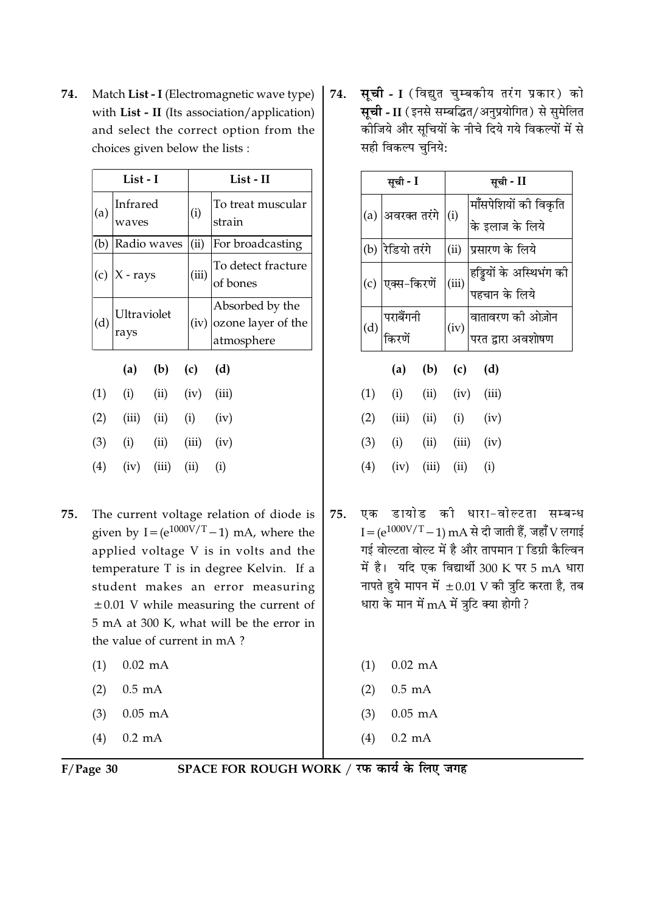Match List - I (Electromagnetic wave type) 74. with List - II (Its association/application) and select the correct option from the choices given below the lists :

| List - I |     | List - II                                             |                       |       |                                                            |                             |
|----------|-----|-------------------------------------------------------|-----------------------|-------|------------------------------------------------------------|-----------------------------|
|          | (a) | waves                                                 | Infrared              |       | (i)                                                        | To treat muscular<br>strain |
|          | (b) | Radio waves                                           |                       |       | (ii)                                                       | For broadcasting            |
|          |     | (c) $ X - rays$<br>Ultraviolet<br>rays<br>(a) (b) (c) |                       | (iii) | To detect fracture<br>of bones                             |                             |
|          | (d) |                                                       |                       |       | Absorbed by the<br>$(iv)$ ozone layer of the<br>atmosphere |                             |
|          |     |                                                       |                       |       | (d)                                                        |                             |
|          | (1) | (i)                                                   | $(ii)$ $(iv)$ $(iii)$ |       |                                                            |                             |
|          | (2) | (iii)                                                 | $(ii)$ $(i)$          |       |                                                            | (iv)                        |
|          | (3) | (i)                                                   | (ii)                  |       | $(iii)$ $(iv)$                                             |                             |
|          | (4) | $(iv)$ $(iii)$                                        |                       | (ii)  | (i)                                                        |                             |

- The current voltage relation of diode is 75. given by I =  $(e^{1000V/T}-1)$  mA, where the applied voltage V is in volts and the temperature T is in degree Kelvin. If a student makes an error measuring  $\pm 0.01$  V while measuring the current of 5 mA at 300 K, what will be the error in the value of current in mA?
	- $0.02$  mA  $(1)$
	- $(2)$  $0.5$  mA
	- $(3)$  $0.05$  mA
	- $(4)$  $0.2 \text{ mA}$

**सूची - I** (विद्युत चुम्बकीय तरंग प्रकार) को 74. सूची - II (इनसे सम्बद्धित/अनुप्रयोगित) से सुमेलित कीजिये और सचियों के नीचे दिये गये विकल्पों में से सही विकल्प चुनिये:

| सूची - I |                     | सूची - II |                                                |  |
|----------|---------------------|-----------|------------------------------------------------|--|
| (a)      | अवरक्त तरंगे        | (i)       | मॉंसपेशियों की विकृति                          |  |
| (b)      | रेडियो तरंगे        | (ii)      | के इलाज के लिये<br>प्रसारण के लिये             |  |
| (c)      | एक्स-किरणें         | (iii)     | हड्डियों के अस्थिभंग की<br> <br> पहचान के लिये |  |
|          |                     |           |                                                |  |
|          | पराबैंगनी<br>किरणें | (iv)      | वातावरण की ओज़ोन<br>परत द्वारा अवशोषण          |  |

|     | (a)   | (b)   | (c)   | (d)   |  |
|-----|-------|-------|-------|-------|--|
| (1) | (i)   | (ii)  | (iv)  | (iii) |  |
| (2) | (iii) | (ii)  | (i)   | (iv)  |  |
| (3) | (i)   | (ii)  | (iii) | (iv)  |  |
| (4) | (iv)  | (iii) | (ii)  | (1)   |  |

एक डायोड की धारा-वोल्टता सम्बन्ध 75.  $I = (e^{1000V/T} - 1)$  mA से दी जाती हैं, जहाँ V लगाई गई वोल्टता वोल्ट में है और तापमान T डिग्री कैल्विन में है। यदि एक विद्यार्थी 300 K पर 5 mA धारा नापते हुये मापन में  $\pm 0.01$  V की त्रुटि करता है, तब धारा के मान में  $mA$  में त्रूटि क्या होगी?

| $0.02$ mA |
|-----------|

- $(2)$  $0.5$  mA
- $(3)$  $0.05$  mA
- $(4)$  $0.2 \text{ mA}$

| $F/Page$ 30 |  |
|-------------|--|
|             |  |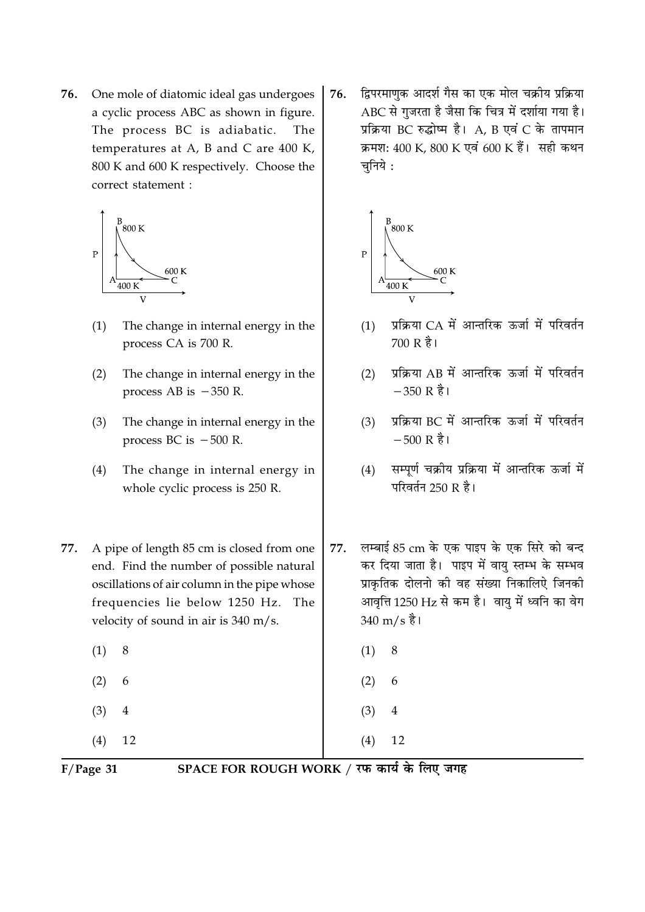One mole of diatomic ideal gas undergoes 76. a cyclic process ABC as shown in figure. The process BC is adiabatic. The temperatures at A, B and C are  $400$  K, 800 K and 600 K respectively. Choose the correct statement :



- $(1)$ The change in internal energy in the process CA is 700 R.
- $(2)$ The change in internal energy in the process AB is  $-350$  R.
- The change in internal energy in the  $(3)$ process BC is  $-500$  R.
- The change in internal energy in  $(4)$ whole cyclic process is 250 R.
- 77. A pipe of length 85 cm is closed from one end. Find the number of possible natural oscillations of air column in the pipe whose frequencies lie below 1250 Hz. The velocity of sound in air is 340 m/s.
	- $(1)$ 8
	- $(2)$ 6
	- $(3)$  $\overline{4}$
	- $(4)$ 12

द्विपरमाणुक आदर्श गैस का एक मोल चक्रीय प्रक्रिया 76. ABC से गुजरता है जैसा कि चित्र में दर्शाया गया है। प्रक्रिया BC रुद्धोष्म है। A, B एवं C के तापमान क्रमश: 400 K, 800 K एवं 600 K हैं। सही कथन चनिये :



- प्रक्रिया CA में आन्तरिक ऊर्जा में परिवर्तन  $(1)$ 700 R है।
- प्रक्रिया AB में आन्तरिक ऊर्जा में परिवर्तन  $(2)$  $-350R$   $\frac{3}{6}$
- प्रक्रिया BC में आन्तरिक ऊर्जा में परिवर्तन  $(3)$  $-500 \text{ R}$  है।
- सम्पूर्ण चक्रीय प्रक्रिया में आन्तरिक ऊर्जा में  $(4)$ परिवर्तन 250 R है।
- लम्बाई 85 cm के एक पाइप के एक सिरे को बन्द 77. कर दिया जाता है। पाइप में वायु स्तम्भ के सम्भव प्राकृतिक दोलनो की वह संख्या निकालिऐ जिनकी आवृत्ति 1250 Hz से कम है। वायु में ध्वनि का वेग  $340 \text{ m/s}$  है।
	- $(1)$ 8

4

12

 $(2)$ 6

 $(4)$ 

 $(3)$ 

 $F/Page$  31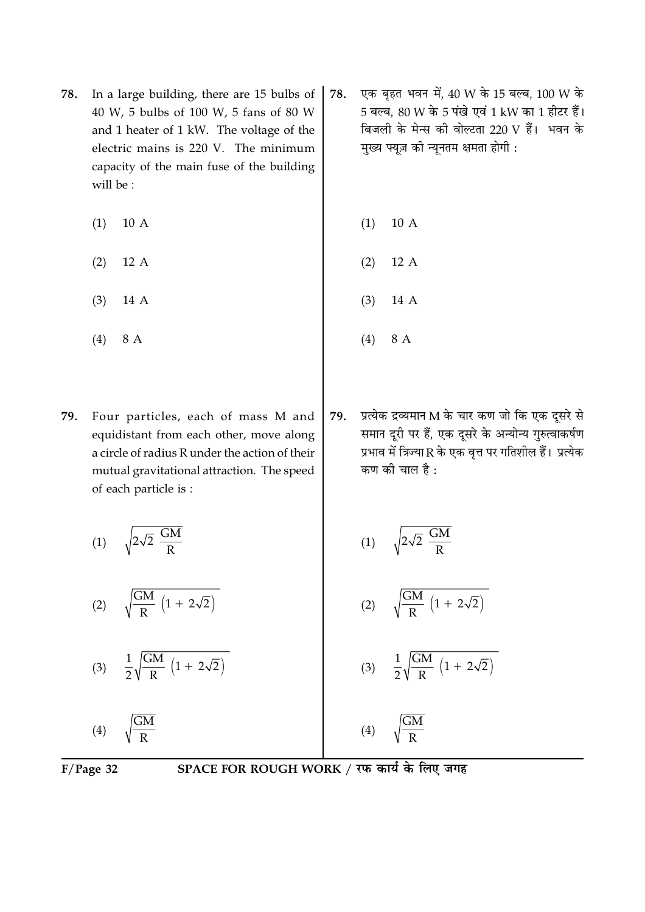- In a large building, there are 15 bulbs of 78. 40 W, 5 bulbs of 100 W, 5 fans of 80 W and 1 heater of 1 kW. The voltage of the electric mains is 220 V. The minimum capacity of the main fuse of the building will be:
	- $(1)$ 10 A
	- $(2)$  $12A$
	- $(3)$ 14 A
	- $(4)$ 8 A
- Four particles, each of mass M and 79. equidistant from each other, move along a circle of radius R under the action of their mutual gravitational attraction. The speed of each particle is:

 $\sqrt{2\sqrt{2}\frac{GM}{R}}$  $(1)$ 

- $\sqrt{\frac{GM}{R}}$   $\left(1 + 2\sqrt{2}\right)$  $(2)$
- $\frac{1}{2}\sqrt{\frac{GM}{R}\left(1+2\sqrt{2}\right)}$  $(3)$
- $\frac{\overline{GM}}{R}$  $(4)$
- एक बृहत भवन में, 40 W के 15 बल्ब, 100 W के 78. 5 बल्ब, 80 W के 5 पंखे एवं 1 kW का 1 हीटर हैं। बिजली के मेन्स की वोल्टता 220 V हैं। भवन के मुख्य फ्यूज़ की न्यूनतम क्षमता होगी :
	- $(1)$ 10 A
	- $(2)$  $12A$
	- $(3)$ 14 A
	- $(4)$ 8 A
- प्रत्येक द्रव्यमान M के चार कण जो कि एक दूसरे से 79. समान दूरी पर हैं, एक दूसरे के अन्योन्य गुरुत्वाकर्षण प्रभाव में त्रिज्या R के एक वृत्त पर गतिशील हैं। प्रत्येक कण की चाल है:

$$
(1) \qquad \sqrt{2\sqrt{2} \frac{GM}{R}}
$$

$$
(2) \qquad \sqrt{\frac{GM}{R} \left(1 + 2\sqrt{2}\right)}
$$

 $\frac{\text{GM}}{\text{R}}\left(1+2\sqrt{2}\right)$  $(3)$ 

$$
(4) \qquad \sqrt{\frac{GM}{R}}
$$

 $F/Page$  32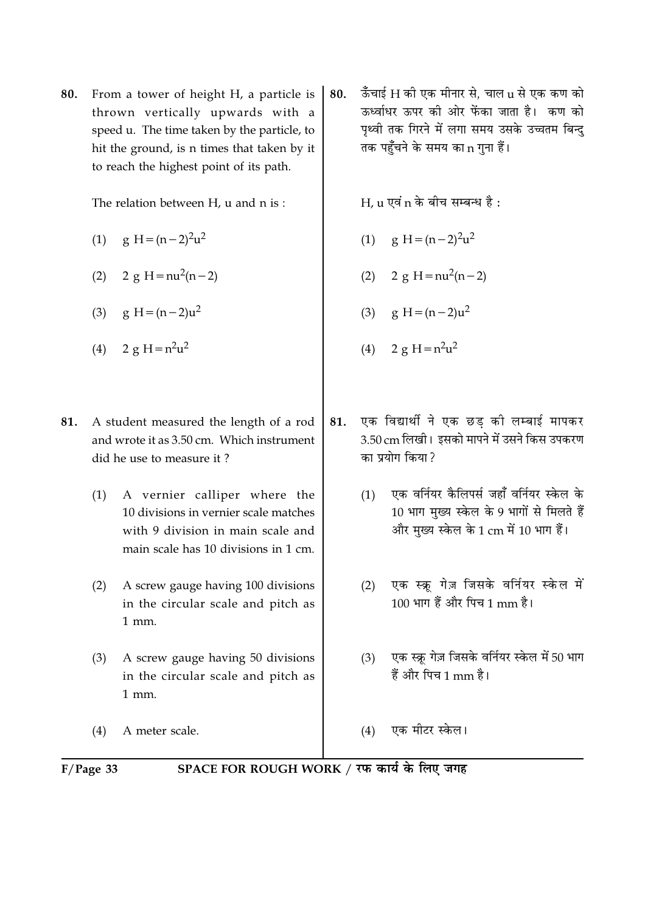From a tower of height H, a particle is 80. thrown vertically upwards with a speed u. The time taken by the particle, to hit the ground, is n times that taken by it to reach the highest point of its path.

The relation between H, u and n is:

- (1)  $g H = (n-2)^2 u^2$
- (2)  $2 g H = nu^2(n-2)$
- (3)  $g H = (n-2)u^2$
- (4)  $2 g H = n^2 u^2$
- 81. A student measured the length of a rod and wrote it as 3.50 cm. Which instrument did he use to measure it?
	- (1) A vernier calliper where the 10 divisions in vernier scale matches with 9 division in main scale and main scale has 10 divisions in 1 cm.
	- A screw gauge having 100 divisions  $(2)$ in the circular scale and pitch as  $1$  mm.
	- $(3)$ A screw gauge having 50 divisions in the circular scale and pitch as  $1$  mm.

 $(4)$ A meter scale.

ऊँचाई H की एक मीनार से. चाल u से एक कण को 80. ऊर्ध्वाधर ऊपर की ओर फेंका जाता है। कण को पथ्वी तक गिरने में लगा समय उसके उच्चतम बिन्द तक पहुँचने के समय का n गुना हैं।

 $H.$ u एवं n के बीच सम्बन्ध है:

- (1)  $g H = (n-2)^2 u^2$
- (2)  $2 g H = nu^2(n-2)$
- (3)  $g H = (n-2)u^2$
- (4)  $2 g H = n^2 u^2$
- एक विद्यार्थी ने एक छड की लम्बाई मापकर 81. 3.50 cm लिखी। इसको मापने में उसने किस उपकरण का प्रयोग किया?
	- एक वर्नियर कैलिपर्स जहाँ वर्नियर स्केल के  $(1)$ 10 भाग मख्य स्केल के 9 भागों से मिलते हैं और मुख्य स्केल के 1 cm में 10 भाग हैं।
	- एक स्क्रू गेज़ जिसके वर्नियर स्केल में  $(2)$ 100 भाग हैं और पिच 1 mm है।
	- (3) एक स्क्र गेज़ जिसके वर्नियर स्केल में 50 भाग हैं और पिच 1 mm है।
	- एक मीटर स्केल।  $(4)$

 $F/Page$  33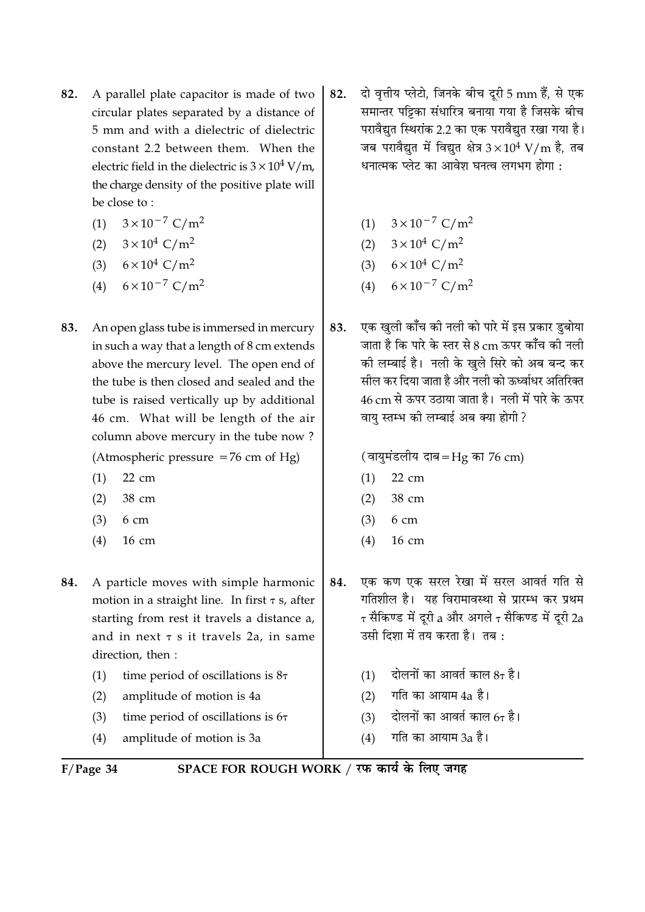- A parallel plate capacitor is made of two 82. circular plates separated by a distance of 5 mm and with a dielectric of dielectric constant 2.2 between them. When the electric field in the dielectric is  $3 \times 10^4$  V/m, the charge density of the positive plate will be close to:
	- $3 \times 10^{-7}$  C/m<sup>2</sup>  $(1)$
	- (2)  $3 \times 10^4$  C/m<sup>2</sup>
	- $6 \times 10^4$  C/m<sup>2</sup>  $(3)$
	- $6 \times 10^{-7}$  C/m<sup>2</sup>  $(4)$
- 83. An open glass tube is immersed in mercury in such a way that a length of 8 cm extends above the mercury level. The open end of the tube is then closed and sealed and the tube is raised vertically up by additional 46 cm. What will be length of the air column above mercury in the tube now?

(Atmospheric pressure  $=76$  cm of Hg)

- $(1)$  $22 \text{ cm}$
- 38 cm  $(2)$
- $(3)$  $6 \text{ cm}$
- $(4)$  $16 \text{ cm}$
- A particle moves with simple harmonic 84. motion in a straight line. In first  $\tau$  s, after starting from rest it travels a distance a, and in next  $\tau$  s it travels 2a, in same direction, then:
	- time period of oscillations is  $8\tau$  $(1)$
	- amplitude of motion is 4a  $(2)$
	- $(3)$ time period of oscillations is  $6\tau$
	- $(4)$ amplitude of motion is 3a
- दो वृत्तीय प्लेटो, जिनके बीच दूरी 5 mm हैं, से एक 82. समान्तर पट्टिका संधारित्र बनाया गया है जिसके बीच परावैद्यत स्थिरांक 2.2 का एक परावैद्यत रखा गया है। जब परावैद्युत में विद्युत क्षेत्र  $3 \times 10^4$  V/m है, तब धनात्मक प्लेट का आवेश घनत्व लगभग होगा :
	- (1)  $3 \times 10^{-7}$  C/m<sup>2</sup>
	- (2)  $3 \times 10^4$  C/m<sup>2</sup>
	- (3)  $6 \times 10^4$  C/m<sup>2</sup>
	- $6 \times 10^{-7}$  C/m<sup>2</sup>  $(4)$
- एक खली कॉंच की नली को पारे में इस प्रकार डबोया 83. जाता है कि पारे के स्तर से 8 cm ऊपर काँच की नली की लम्बाई है। नली के खले सिरे को अब बन्द कर सील कर दिया जाता है और नली को ऊर्ध्वाधर अतिरिक्त 46 cm से ऊपर उठाया जाता है। नली में पारे के ऊपर वाय स्तम्भ की लम्बाई अब क्या होगी?

(वायुमंडलीय दाब=Hg का 76 cm)

- $22 \text{ cm}$  $(1)$
- 38 cm  $(2)$
- $(3)$  $6<sub>cm</sub>$
- $(4)$  $16 \text{ cm}$
- एक कण एक सरल रेखा में सरल आवर्त गति से 84. गतिशील है। यह विरामावस्था से प्रारम्भ कर प्रथम  $\tau$  सैकिण्ड में दुरी a और अगले  $\tau$  सैकिण्ड में दुरी 2a उसी दिशा में तय करता है। तब:
	- दोलनों का आवर्त काल  $8\tau$  है।  $(1)$
	- गति का आयाम 4a है।  $(2)$
	- $(3)$ दोलनों का आवर्त काल  $6\tau$  है।
	- गति का आयाम 3a है।  $(4)$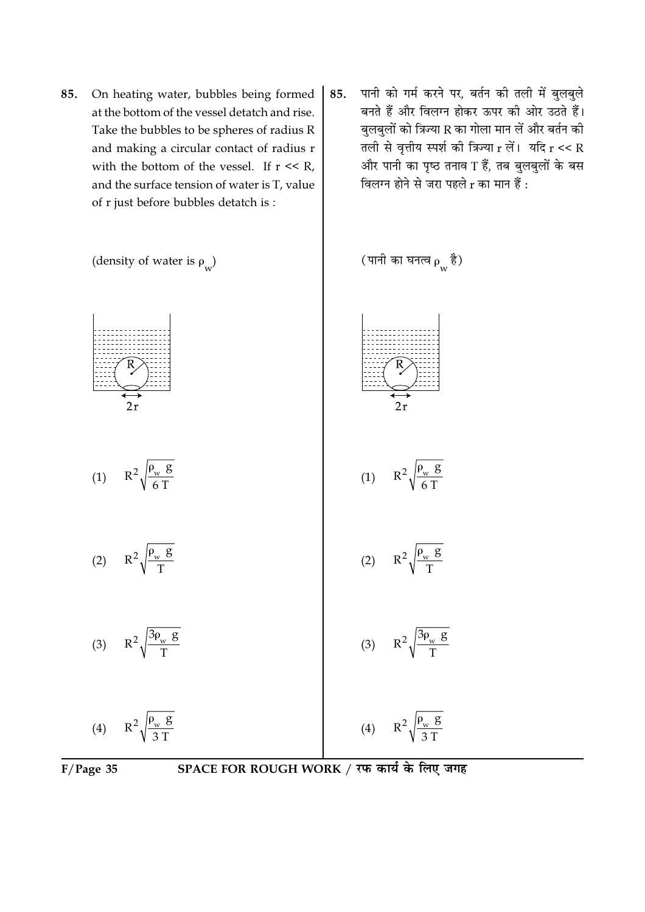- On heating water, bubbles being formed 85. at the bottom of the vessel detatch and rise. Take the bubbles to be spheres of radius R and making a circular contact of radius r with the bottom of the vessel. If  $r \ll R$ , and the surface tension of water is T, value of r just before bubbles detatch is:
- पानी को गर्म करने पर, बर्तन की तली में बुलबुले 85. बनते हैं और विलग्न होकर ऊपर की ओर उठते हैं। बुलबुलों को त्रिज्या R का गोला मान लें और बर्तन की तली से वृत्तीय स्पर्श की त्रिज्या  $r$  लें। यदि  $r \ll R$ और पानी का पृष्ठ तनाव T हैं, तब बुलबुलों के बस विलग्न होने से जरा पहले r का मान हैं :





SPACE FOR ROUGH WORK / रफ कार्य के लिए जगह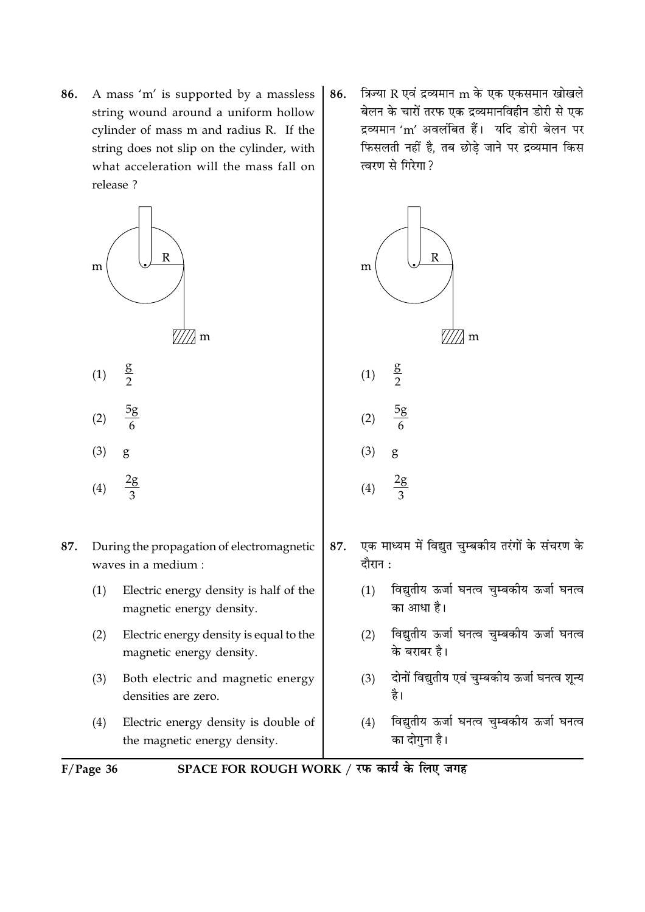A mass 'm' is supported by a massless 86. string wound around a uniform hollow cylinder of mass m and radius R. If the string does not slip on the cylinder, with what acceleration will the mass fall on release ?



- $\frac{5g}{6}$  $(2)$
- $(3)$ g
- $2g$  $(4)$
- 87. During the propagation of electromagnetic waves in a medium :
	- Electric energy density is half of the  $(1)$ magnetic energy density.
	- Electric energy density is equal to the  $(2)$ magnetic energy density.
	- $(3)$ Both electric and magnetic energy densities are zero.
	- Electric energy density is double of  $(4)$ the magnetic energy density.

त्रिज्या R एवं द्रव्यमान m के एक एकसमान खोखले 86. बेलन के चारों तरफ एक द्रव्यमानविहीन डोरी से एक द्रव्यमान 'm' अवलंबित हैं। यदि डोरी बेलन पर फिसलती नहीं है, तब छोडे जाने पर द्रव्यमान किस त्वरण से गिरेगा?



- एक माध्यम में विद्युत चुम्बकीय तरंगों के संचरण के 87. दौरान:
	- विद्युतीय ऊर्जा घनत्व चुम्बकीय ऊर्जा घनत्व  $(1)$ का आधा है।
	- विद्युतीय ऊर्जा घनत्व चुम्बकीय ऊर्जा घनत्व  $(2)$ के बराबर है।
	- दोनों विद्युतीय एवं चुम्बकीय ऊर्जा घनत्व शून्य  $(3)$ है।
	- विद्युतीय ऊर्जा घनत्व चुम्बकीय ऊर्जा घनत्व  $(4)$ का दोगुना है।

 $F/Page$  36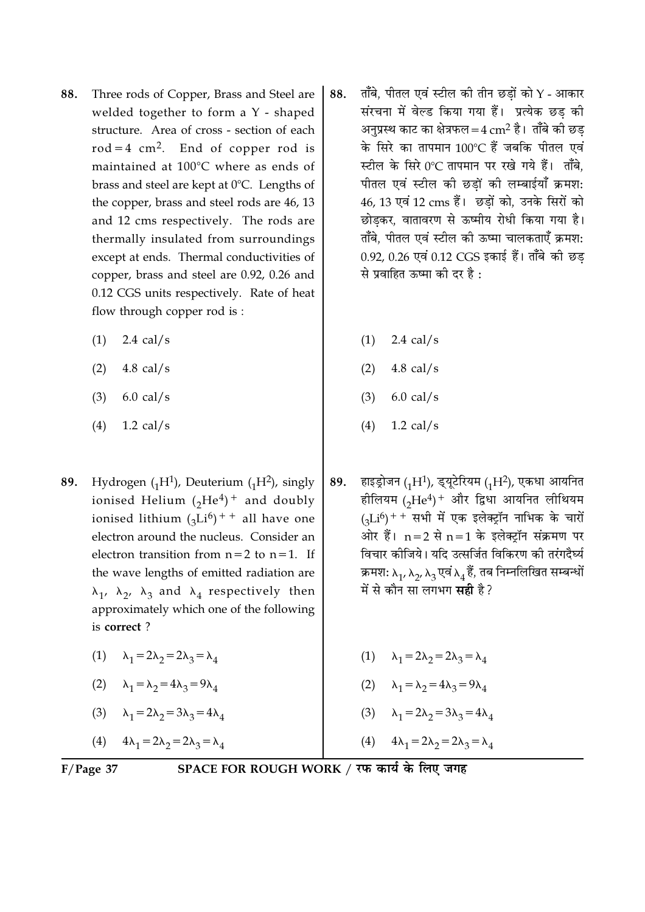- Three rods of Copper, Brass and Steel are 88. welded together to form a Y - shaped structure. Area of cross - section of each  $rod = 4 cm<sup>2</sup>$ . End of copper rod is maintained at 100°C where as ends of brass and steel are kept at 0°C. Lengths of the copper, brass and steel rods are 46, 13 and 12 cms respectively. The rods are thermally insulated from surroundings except at ends. Thermal conductivities of copper, brass and steel are 0.92, 0.26 and 0.12 CGS units respectively. Rate of heat flow through copper rod is:
	- $2.4$  cal/s  $(1)$
	- $(2)$ 4.8 cal/s
	- $(3)$  $6.0$  cal/s
	- 1.2 cal/s  $(4)$
- Hydrogen  $({}_{1}H^{1})$ , Deuterium  $({}_{1}H^{2})$ , singly 89. ionised Helium  $({}_2He^4)^+$  and doubly ionised lithium  $({}_{3}Li^{6})$ <sup>++</sup> all have one electron around the nucleus. Consider an electron transition from  $n=2$  to  $n=1$ . If the wave lengths of emitted radiation are  $\lambda_1$ ,  $\lambda_2$ ,  $\lambda_3$  and  $\lambda_4$  respectively then approximately which one of the following is correct?
	- (1)  $\lambda_1 = 2\lambda_2 = 2\lambda_3 = \lambda_4$
	- (2)  $\lambda_1 = \lambda_2 = 4\lambda_3 = 9\lambda_4$
	- (3)  $\lambda_1 = 2\lambda_2 = 3\lambda_3 = 4\lambda_4$

(4)  $4\lambda_1 = 2\lambda_2 = 2\lambda_3 = \lambda_4$ 

- ताँबे. पीतल एवं स्टील की तीन छडों को Y आकार 88. संरचना में वेल्ड किया गया हैं। प्रत्येक छड की अनप्रस्थ काट का क्षेत्रफल = 4  $\rm cm^2$  है। ताँबे की छड के सिरे का तापमान 100°C हैं जबकि पीतल एवं स्टील के सिरे 0°C तापमान पर रखे गये हैं। ताँबे. पीतल एवं स्टील की छडों की लम्बाईयाँ क्रमश: 46, 13 एवं 12 cms हैं। छड़ों को, उनके सिरों को छोडकर, वातावरण से ऊष्मीय रोधी किया गया है। ताँबे, पीतल एवं स्टील की ऊष्मा चालकताएँ क्रमश: 0.92, 0.26 एवं 0.12 CGS इकाई हैं। ताँबे की छड से प्रवाहित ऊष्मा की दर है :
	- 2.4 cal/s  $(1)$
	- $(2)$  $4.8$  cal/s
	- $(3)$  $6.0$  cal/s
	- $1.2$  cal/s  $(4)$
- हाइड्रोजन (1H<sup>1</sup>), इयूटेरियम (1H<sup>2</sup>), एकधा आयनित 89. हीलियम (2He<sup>4</sup>)<sup>+</sup> और द्विधा आयनित लीथियम  $(_{2}Li^{6})$ ++ सभी में एक इलेक्ट्रॉन नाभिक के चारों ओर हैं।  $n=2$  से  $n=1$  के इलेक्ट्रॉन संक्रमण पर विचार कोजिये। यदि उत्सर्जित विकिरण की तरंगदैर्घ्य क्रमश:  $\lambda_1$ ,  $\lambda_2$ ,  $\lambda_3$  एवं  $\lambda_4$  हैं, तब निम्नलिखित सम्बन्धों में से कौन सा लगभग **सही** है ?
	- (1)  $\lambda_1 = 2\lambda_2 = 2\lambda_3 = \lambda_4$ (2)  $\lambda_1 = \lambda_2 = 4\lambda_3 = 9\lambda_4$ 
		- (3)  $\lambda_1 = 2\lambda_2 = 3\lambda_3 = 4\lambda_4$
- $4\lambda_1 = 2\lambda_2 = 2\lambda_3 = \lambda_4$  $(4)$

 $F/Page$  37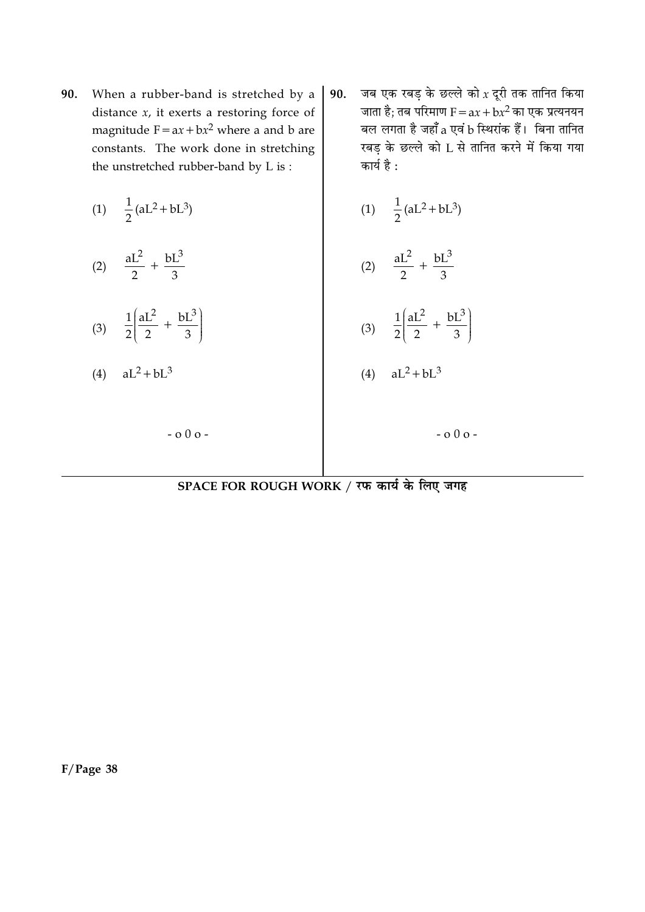- When a rubber-band is stretched by a 90. distance  $x$ , it exerts a restoring force of magnitude  $F = ax + bx^2$  where a and b are constants. The work done in stretching the unstretched rubber-band by L is:
	- (1)  $\frac{1}{2}$  (aL<sup>2</sup> + bL<sup>3</sup>)
	- (2)  $\frac{aL^2}{2} + \frac{bL^3}{3}$
	- (3)  $\frac{1}{2} \left( \frac{aL^2}{2} + \frac{bL^3}{3} \right)$

 $-000-$ 

 $aL^2 + bL^3$  $(4)$ 

जब एक रबड़ के छल्ले को  $x$  दूरी तक तानित किया 90. जाता है; तब परिमाण  $F = ax + bx^2$  का एक प्रत्यनयन बल लगता है जहाँ a एवं b स्थिरांक हैं। बिना तानित रबड के छल्ले को L से तानित करने में किया गया कार्य है :

(1) 
$$
\frac{1}{2}
$$
 (aL<sup>2</sup> + bL<sup>3</sup>)

$$
(2) \quad \frac{aL^2}{2} + \frac{bL^3}{3}
$$

$$
(3) \quad \frac{1}{2} \left( \frac{aL^2}{2} + \frac{bL^3}{3} \right)
$$

$$
(4) \quad aL^2 + bL^3
$$

 $-000 -$ 

SPACE FOR ROUGH WORK / रफ कार्य के लिए जगह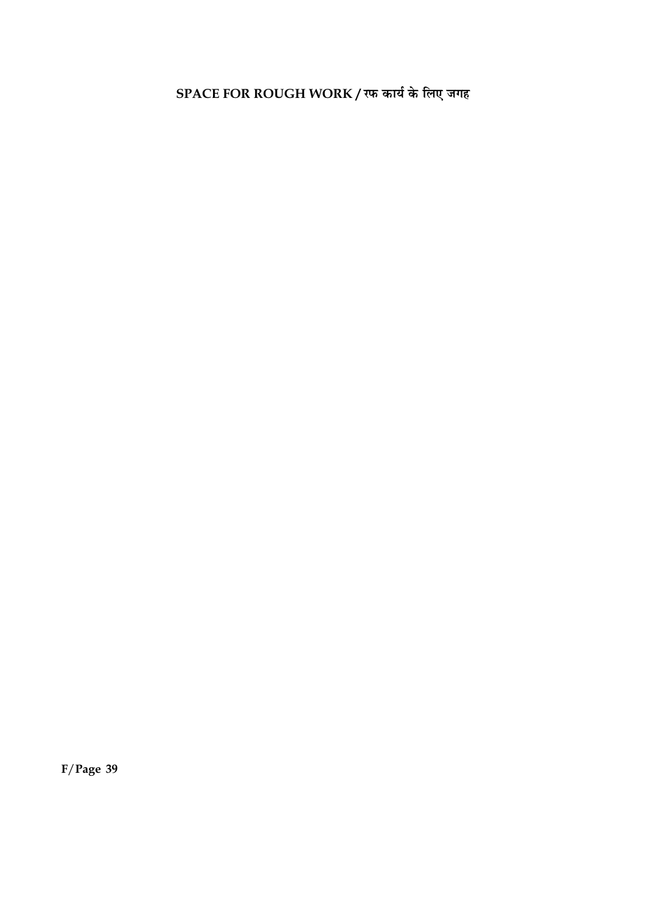SPACE FOR ROUGH WORK / रफ कार्य के लिए जगह

 $F/Page$  39